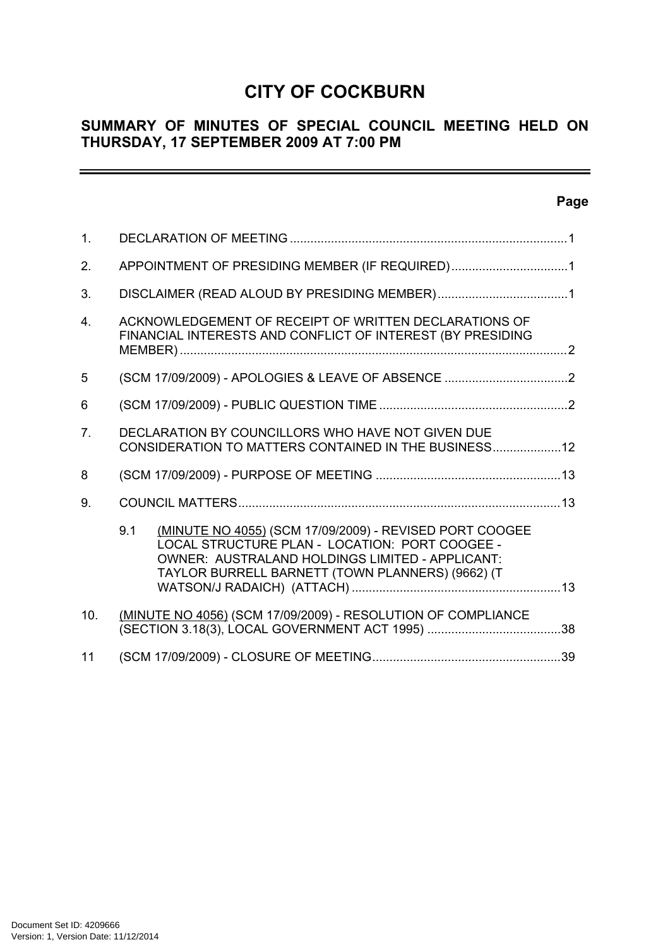# **CITY OF COCKBURN**

# **SUMMARY OF MINUTES OF SPECIAL COUNCIL MEETING HELD ON THURSDAY, 17 SEPTEMBER 2009 AT 7:00 PM**

### **Page**

-

| 1.             |                                                                                                                                                                                                                                |  |  |  |  |
|----------------|--------------------------------------------------------------------------------------------------------------------------------------------------------------------------------------------------------------------------------|--|--|--|--|
| 2.             | APPOINTMENT OF PRESIDING MEMBER (IF REQUIRED)1                                                                                                                                                                                 |  |  |  |  |
| 3.             |                                                                                                                                                                                                                                |  |  |  |  |
| 4 <sup>1</sup> | ACKNOWLEDGEMENT OF RECEIPT OF WRITTEN DECLARATIONS OF<br>FINANCIAL INTERESTS AND CONFLICT OF INTEREST (BY PRESIDING                                                                                                            |  |  |  |  |
| 5              |                                                                                                                                                                                                                                |  |  |  |  |
| 6              |                                                                                                                                                                                                                                |  |  |  |  |
| 7.             | DECLARATION BY COUNCILLORS WHO HAVE NOT GIVEN DUE<br>CONSIDERATION TO MATTERS CONTAINED IN THE BUSINESS 12                                                                                                                     |  |  |  |  |
| 8              |                                                                                                                                                                                                                                |  |  |  |  |
| 9.             |                                                                                                                                                                                                                                |  |  |  |  |
|                | 9.1<br>(MINUTE NO 4055) (SCM 17/09/2009) - REVISED PORT COOGEE<br>LOCAL STRUCTURE PLAN - LOCATION: PORT COOGEE -<br><b>OWNER: AUSTRALAND HOLDINGS LIMITED - APPLICANT:</b><br>TAYLOR BURRELL BARNETT (TOWN PLANNERS) (9662) (T |  |  |  |  |
| 10.            | (MINUTE NO 4056) (SCM 17/09/2009) - RESOLUTION OF COMPLIANCE                                                                                                                                                                   |  |  |  |  |
| 11             |                                                                                                                                                                                                                                |  |  |  |  |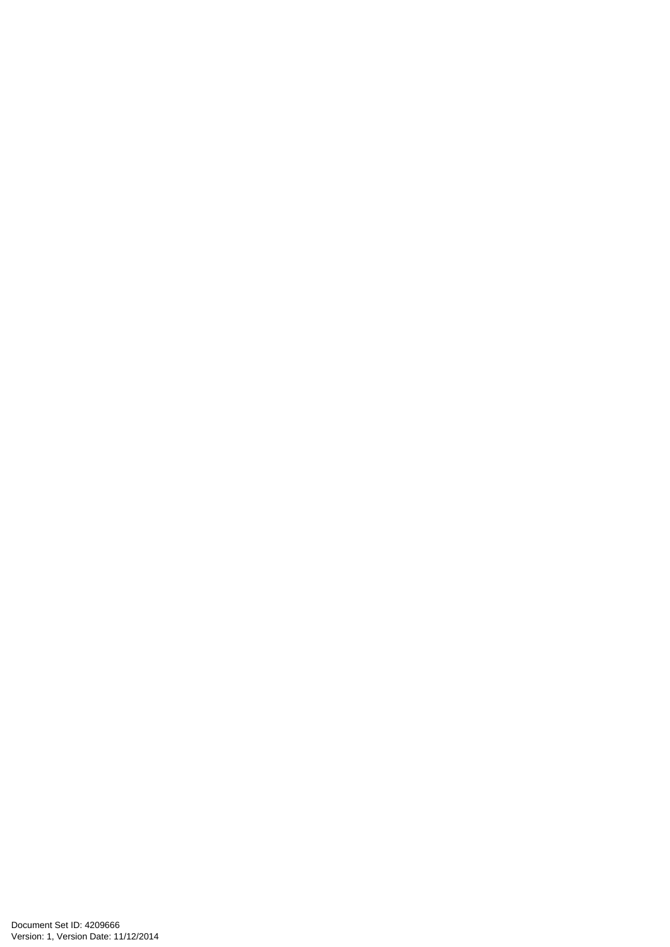Document Set ID: 4209666<br>Version: 1, Version Date: 11/12/2014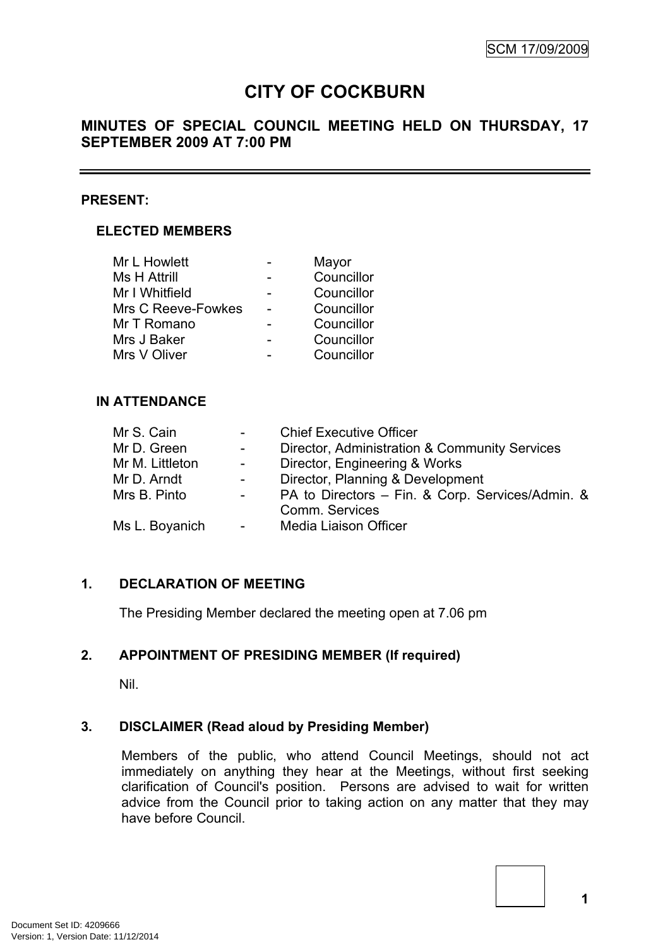# **CITY OF COCKBURN**

# **MINUTES OF SPECIAL COUNCIL MEETING HELD ON THURSDAY, 17 SEPTEMBER 2009 AT 7:00 PM**

### **PRESENT:**

### **ELECTED MEMBERS**

| Mr L Howlett       | Mayor      |
|--------------------|------------|
| Ms H Attrill       | Councillor |
| Mr I Whitfield     | Councillor |
| Mrs C Reeve-Fowkes | Councillor |
| Mr T Romano        | Councillor |
| Mrs J Baker        | Councillor |
| Mrs V Oliver       | Councillor |
|                    |            |

### **IN ATTENDANCE**

| Mr S. Cain      | $\blacksquare$      | <b>Chief Executive Officer</b>                                     |
|-----------------|---------------------|--------------------------------------------------------------------|
| Mr D. Green     | $\sim 100$          | Director, Administration & Community Services                      |
| Mr M. Littleton | $\sim 100$          | Director, Engineering & Works                                      |
| Mr D. Arndt     | $\sim 100$          | Director, Planning & Development                                   |
| Mrs B. Pinto    | $\omega_{\rm{max}}$ | PA to Directors - Fin. & Corp. Services/Admin. &<br>Comm. Services |
| Ms L. Boyanich  | $\sim 100$          | Media Liaison Officer                                              |

### <span id="page-2-0"></span>**1. DECLARATION OF MEETING**

The Presiding Member declared the meeting open at 7.06 pm

### <span id="page-2-1"></span>**2. APPOINTMENT OF PRESIDING MEMBER (If required)**

Nil.

### <span id="page-2-2"></span>**3. DISCLAIMER (Read aloud by Presiding Member)**

Members of the public, who attend Council Meetings, should not act immediately on anything they hear at the Meetings, without first seeking clarification of Council's position. Persons are advised to wait for written advice from the Council prior to taking action on any matter that they may have before Council.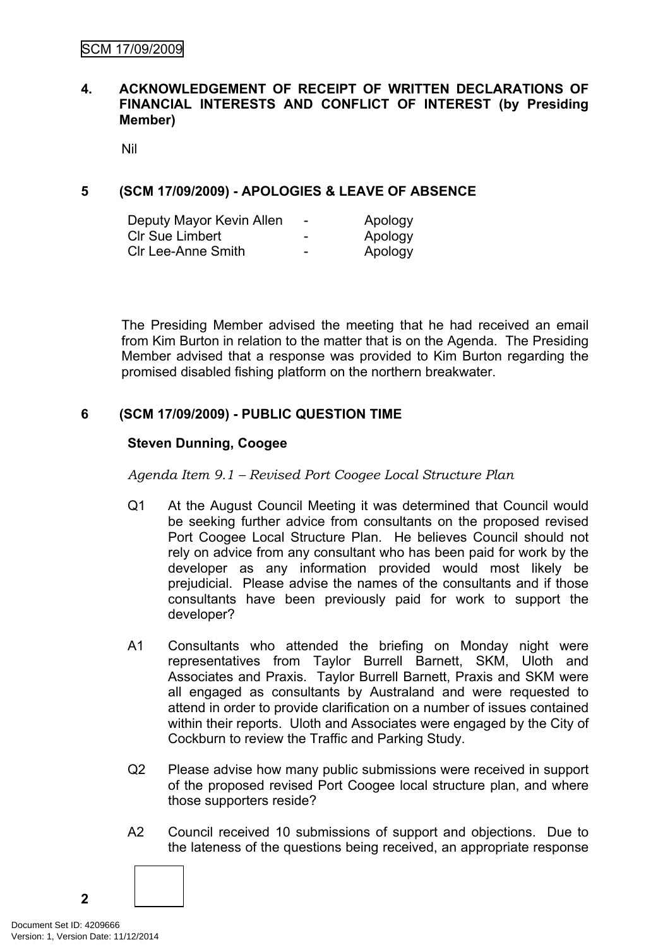### <span id="page-3-0"></span>**4. ACKNOWLEDGEMENT OF RECEIPT OF WRITTEN DECLARATIONS OF FINANCIAL INTERESTS AND CONFLICT OF INTEREST (by Presiding Member)**

Nil

### <span id="page-3-1"></span>**5 (SCM 17/09/2009) - APOLOGIES & LEAVE OF ABSENCE**

| Deputy Mayor Kevin Allen | $\overline{\phantom{a}}$ | Apology |
|--------------------------|--------------------------|---------|
| CIr Sue Limbert          | $\overline{\phantom{0}}$ | Apology |
| CIr Lee-Anne Smith       | -                        | Apology |

The Presiding Member advised the meeting that he had received an email from Kim Burton in relation to the matter that is on the Agenda. The Presiding Member advised that a response was provided to Kim Burton regarding the promised disabled fishing platform on the northern breakwater.

### <span id="page-3-2"></span>**6 (SCM 17/09/2009) - PUBLIC QUESTION TIME**

### **Steven Dunning, Coogee**

*Agenda Item 9.1 – Revised Port Coogee Local Structure Plan*

- Q1 At the August Council Meeting it was determined that Council would be seeking further advice from consultants on the proposed revised Port Coogee Local Structure Plan. He believes Council should not rely on advice from any consultant who has been paid for work by the developer as any information provided would most likely be prejudicial. Please advise the names of the consultants and if those consultants have been previously paid for work to support the developer?
- A1 Consultants who attended the briefing on Monday night were representatives from Taylor Burrell Barnett, SKM, Uloth and Associates and Praxis. Taylor Burrell Barnett, Praxis and SKM were all engaged as consultants by Australand and were requested to attend in order to provide clarification on a number of issues contained within their reports. Uloth and Associates were engaged by the City of Cockburn to review the Traffic and Parking Study.
- Q2 Please advise how many public submissions were received in support of the proposed revised Port Coogee local structure plan, and where those supporters reside?
- A2 Council received 10 submissions of support and objections. Due to the lateness of the questions being received, an appropriate response

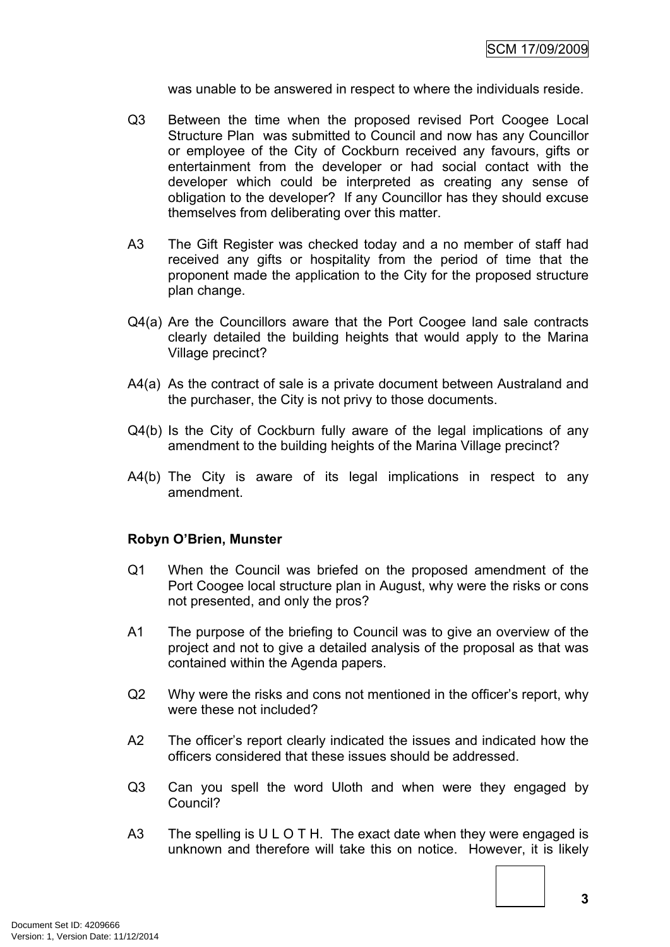was unable to be answered in respect to where the individuals reside.

- Q3 Between the time when the proposed revised Port Coogee Local Structure Plan was submitted to Council and now has any Councillor or employee of the City of Cockburn received any favours, gifts or entertainment from the developer or had social contact with the developer which could be interpreted as creating any sense of obligation to the developer? If any Councillor has they should excuse themselves from deliberating over this matter.
- A3 The Gift Register was checked today and a no member of staff had received any gifts or hospitality from the period of time that the proponent made the application to the City for the proposed structure plan change.
- Q4(a) Are the Councillors aware that the Port Coogee land sale contracts clearly detailed the building heights that would apply to the Marina Village precinct?
- A4(a) As the contract of sale is a private document between Australand and the purchaser, the City is not privy to those documents.
- Q4(b) Is the City of Cockburn fully aware of the legal implications of any amendment to the building heights of the Marina Village precinct?
- A4(b) The City is aware of its legal implications in respect to any amendment.

#### **Robyn O'Brien, Munster**

- Q1 When the Council was briefed on the proposed amendment of the Port Coogee local structure plan in August, why were the risks or cons not presented, and only the pros?
- A1 The purpose of the briefing to Council was to give an overview of the project and not to give a detailed analysis of the proposal as that was contained within the Agenda papers.
- Q2 Why were the risks and cons not mentioned in the officer's report, why were these not included?
- A2 The officer's report clearly indicated the issues and indicated how the officers considered that these issues should be addressed.
- Q3 Can you spell the word Uloth and when were they engaged by Council?
- A3 The spelling is U L O T H. The exact date when they were engaged is unknown and therefore will take this on notice. However, it is likely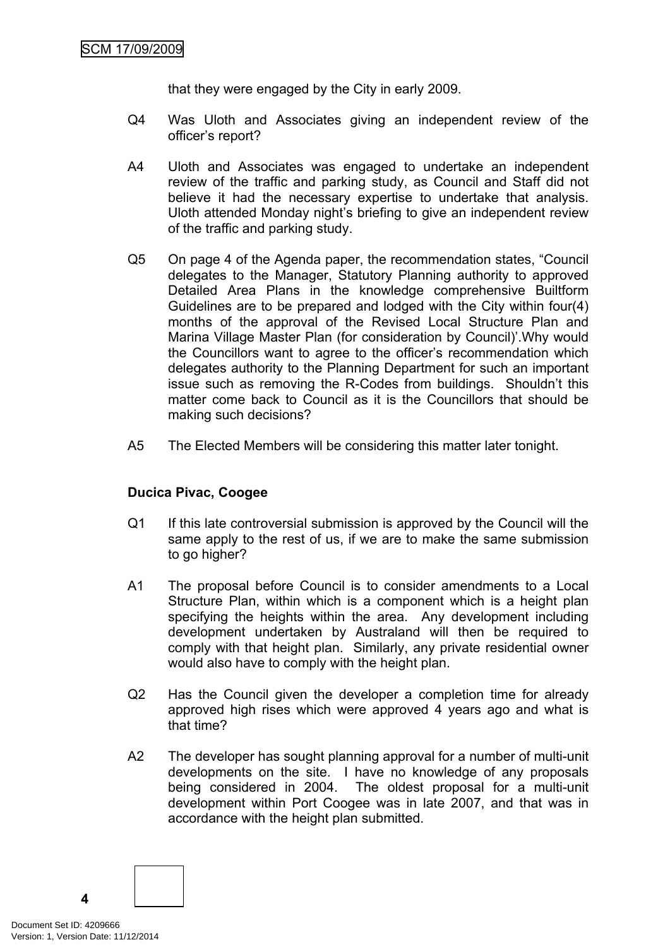that they were engaged by the City in early 2009.

- Q4 Was Uloth and Associates giving an independent review of the officer's report?
- A4 Uloth and Associates was engaged to undertake an independent review of the traffic and parking study, as Council and Staff did not believe it had the necessary expertise to undertake that analysis. Uloth attended Monday night's briefing to give an independent review of the traffic and parking study.
- Q5 On page 4 of the Agenda paper, the recommendation states, "Council delegates to the Manager, Statutory Planning authority to approved Detailed Area Plans in the knowledge comprehensive Builtform Guidelines are to be prepared and lodged with the City within four(4) months of the approval of the Revised Local Structure Plan and Marina Village Master Plan (for consideration by Council)'.Why would the Councillors want to agree to the officer's recommendation which delegates authority to the Planning Department for such an important issue such as removing the R-Codes from buildings. Shouldn't this matter come back to Council as it is the Councillors that should be making such decisions?
- A5 The Elected Members will be considering this matter later tonight.

### **Ducica Pivac, Coogee**

- Q1 If this late controversial submission is approved by the Council will the same apply to the rest of us, if we are to make the same submission to go higher?
- A1 The proposal before Council is to consider amendments to a Local Structure Plan, within which is a component which is a height plan specifying the heights within the area. Any development including development undertaken by Australand will then be required to comply with that height plan. Similarly, any private residential owner would also have to comply with the height plan.
- Q2 Has the Council given the developer a completion time for already approved high rises which were approved 4 years ago and what is that time?
- A2 The developer has sought planning approval for a number of multi-unit developments on the site. I have no knowledge of any proposals being considered in 2004. The oldest proposal for a multi-unit development within Port Coogee was in late 2007, and that was in accordance with the height plan submitted.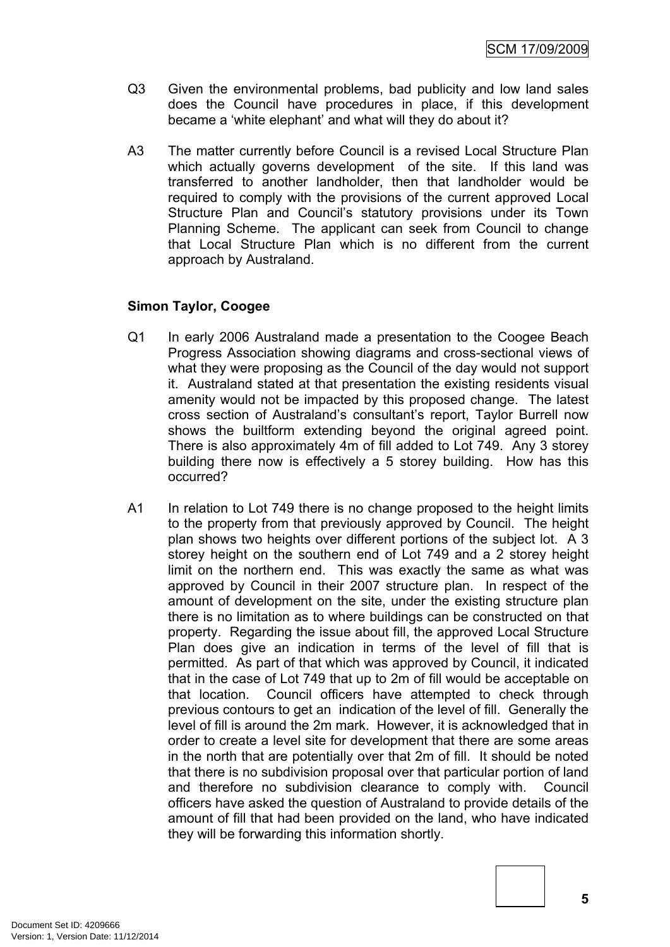- Q3 Given the environmental problems, bad publicity and low land sales does the Council have procedures in place, if this development became a 'white elephant' and what will they do about it?
- A3 The matter currently before Council is a revised Local Structure Plan which actually governs development of the site. If this land was transferred to another landholder, then that landholder would be required to comply with the provisions of the current approved Local Structure Plan and Council's statutory provisions under its Town Planning Scheme. The applicant can seek from Council to change that Local Structure Plan which is no different from the current approach by Australand.

### **Simon Taylor, Coogee**

- Q1 In early 2006 Australand made a presentation to the Coogee Beach Progress Association showing diagrams and cross-sectional views of what they were proposing as the Council of the day would not support it. Australand stated at that presentation the existing residents visual amenity would not be impacted by this proposed change. The latest cross section of Australand's consultant's report, Taylor Burrell now shows the builtform extending beyond the original agreed point. There is also approximately 4m of fill added to Lot 749. Any 3 storey building there now is effectively a 5 storey building. How has this occurred?
- A1 In relation to Lot 749 there is no change proposed to the height limits to the property from that previously approved by Council. The height plan shows two heights over different portions of the subject lot. A 3 storey height on the southern end of Lot 749 and a 2 storey height limit on the northern end. This was exactly the same as what was approved by Council in their 2007 structure plan. In respect of the amount of development on the site, under the existing structure plan there is no limitation as to where buildings can be constructed on that property. Regarding the issue about fill, the approved Local Structure Plan does give an indication in terms of the level of fill that is permitted. As part of that which was approved by Council, it indicated that in the case of Lot 749 that up to 2m of fill would be acceptable on that location. Council officers have attempted to check through previous contours to get an indication of the level of fill. Generally the level of fill is around the 2m mark. However, it is acknowledged that in order to create a level site for development that there are some areas in the north that are potentially over that 2m of fill. It should be noted that there is no subdivision proposal over that particular portion of land and therefore no subdivision clearance to comply with. Council officers have asked the question of Australand to provide details of the amount of fill that had been provided on the land, who have indicated they will be forwarding this information shortly.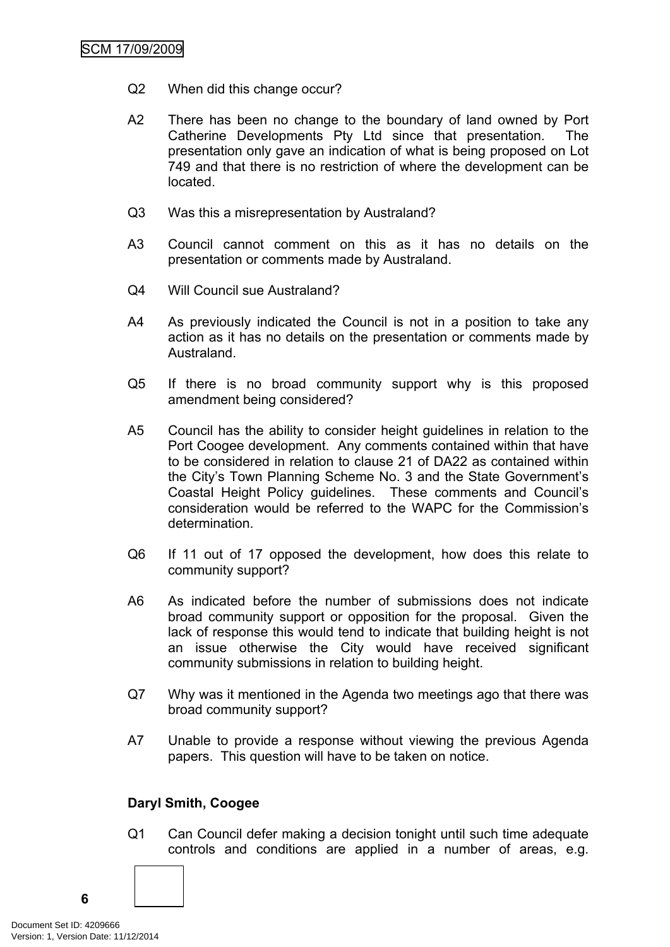- Q2 When did this change occur?
- A2 There has been no change to the boundary of land owned by Port Catherine Developments Pty Ltd since that presentation. The presentation only gave an indication of what is being proposed on Lot 749 and that there is no restriction of where the development can be located.
- Q3 Was this a misrepresentation by Australand?
- A3 Council cannot comment on this as it has no details on the presentation or comments made by Australand.
- Q4 Will Council sue Australand?
- A4 As previously indicated the Council is not in a position to take any action as it has no details on the presentation or comments made by Australand.
- Q5 If there is no broad community support why is this proposed amendment being considered?
- A5 Council has the ability to consider height guidelines in relation to the Port Coogee development. Any comments contained within that have to be considered in relation to clause 21 of DA22 as contained within the City's Town Planning Scheme No. 3 and the State Government's Coastal Height Policy guidelines. These comments and Council's consideration would be referred to the WAPC for the Commission's determination.
- Q6 If 11 out of 17 opposed the development, how does this relate to community support?
- A6 As indicated before the number of submissions does not indicate broad community support or opposition for the proposal. Given the lack of response this would tend to indicate that building height is not an issue otherwise the City would have received significant community submissions in relation to building height.
- Q7 Why was it mentioned in the Agenda two meetings ago that there was broad community support?
- A7 Unable to provide a response without viewing the previous Agenda papers. This question will have to be taken on notice.

### **Daryl Smith, Coogee**

Q1 Can Council defer making a decision tonight until such time adequate controls and conditions are applied in a number of areas, e.g.

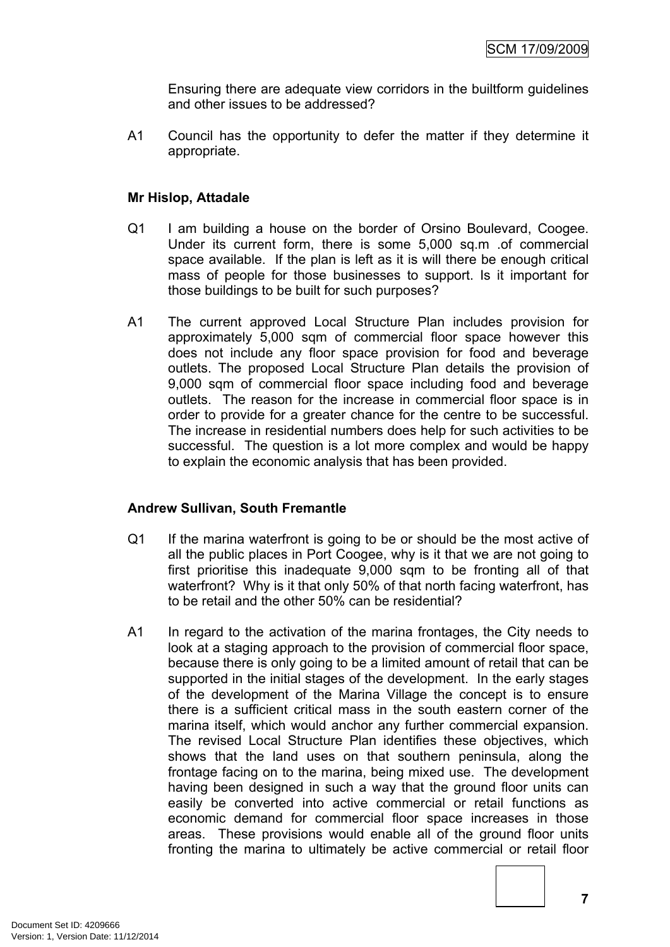Ensuring there are adequate view corridors in the builtform guidelines and other issues to be addressed?

A1 Council has the opportunity to defer the matter if they determine it appropriate.

### **Mr Hislop, Attadale**

- Q1 I am building a house on the border of Orsino Boulevard, Coogee. Under its current form, there is some 5,000 sq.m .of commercial space available. If the plan is left as it is will there be enough critical mass of people for those businesses to support. Is it important for those buildings to be built for such purposes?
- A1 The current approved Local Structure Plan includes provision for approximately 5,000 sqm of commercial floor space however this does not include any floor space provision for food and beverage outlets. The proposed Local Structure Plan details the provision of 9,000 sqm of commercial floor space including food and beverage outlets. The reason for the increase in commercial floor space is in order to provide for a greater chance for the centre to be successful. The increase in residential numbers does help for such activities to be successful. The question is a lot more complex and would be happy to explain the economic analysis that has been provided.

### **Andrew Sullivan, South Fremantle**

- Q1 If the marina waterfront is going to be or should be the most active of all the public places in Port Coogee, why is it that we are not going to first prioritise this inadequate 9,000 sqm to be fronting all of that waterfront? Why is it that only 50% of that north facing waterfront, has to be retail and the other 50% can be residential?
- A1 In regard to the activation of the marina frontages, the City needs to look at a staging approach to the provision of commercial floor space, because there is only going to be a limited amount of retail that can be supported in the initial stages of the development. In the early stages of the development of the Marina Village the concept is to ensure there is a sufficient critical mass in the south eastern corner of the marina itself, which would anchor any further commercial expansion. The revised Local Structure Plan identifies these objectives, which shows that the land uses on that southern peninsula, along the frontage facing on to the marina, being mixed use. The development having been designed in such a way that the ground floor units can easily be converted into active commercial or retail functions as economic demand for commercial floor space increases in those areas. These provisions would enable all of the ground floor units fronting the marina to ultimately be active commercial or retail floor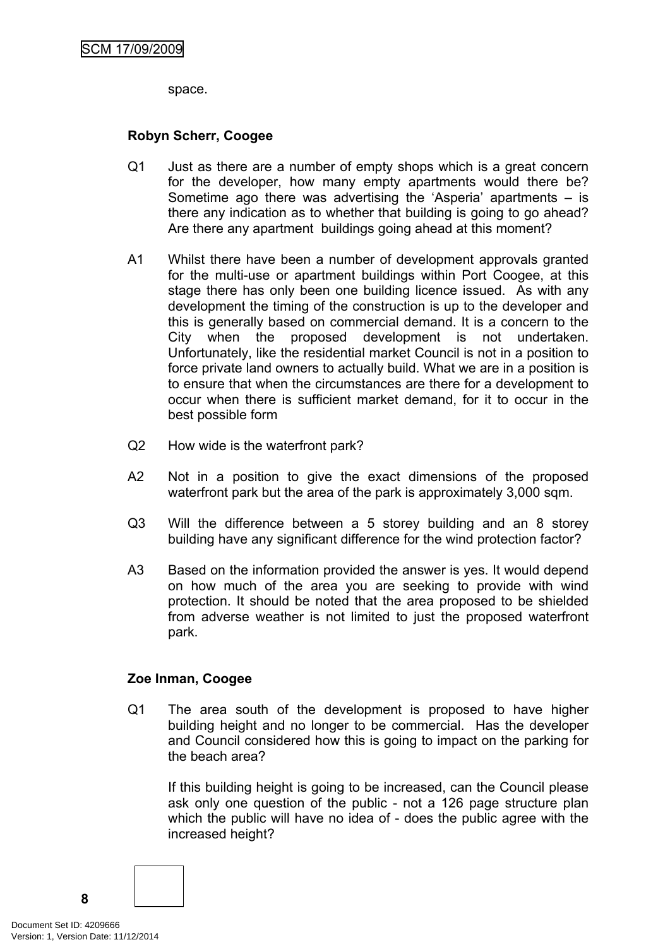space.

### **Robyn Scherr, Coogee**

- Q1 Just as there are a number of empty shops which is a great concern for the developer, how many empty apartments would there be? Sometime ago there was advertising the 'Asperia' apartments – is there any indication as to whether that building is going to go ahead? Are there any apartment buildings going ahead at this moment?
- A1 Whilst there have been a number of development approvals granted for the multi-use or apartment buildings within Port Coogee, at this stage there has only been one building licence issued. As with any development the timing of the construction is up to the developer and this is generally based on commercial demand. It is a concern to the City when the proposed development is not undertaken. Unfortunately, like the residential market Council is not in a position to force private land owners to actually build. What we are in a position is to ensure that when the circumstances are there for a development to occur when there is sufficient market demand, for it to occur in the best possible form
- Q2 How wide is the waterfront park?
- A2 Not in a position to give the exact dimensions of the proposed waterfront park but the area of the park is approximately 3,000 sqm.
- Q3 Will the difference between a 5 storey building and an 8 storey building have any significant difference for the wind protection factor?
- A3 Based on the information provided the answer is yes. It would depend on how much of the area you are seeking to provide with wind protection. It should be noted that the area proposed to be shielded from adverse weather is not limited to just the proposed waterfront park.

### **Zoe Inman, Coogee**

Q1 The area south of the development is proposed to have higher building height and no longer to be commercial. Has the developer and Council considered how this is going to impact on the parking for the beach area?

If this building height is going to be increased, can the Council please ask only one question of the public - not a 126 page structure plan which the public will have no idea of - does the public agree with the increased height?

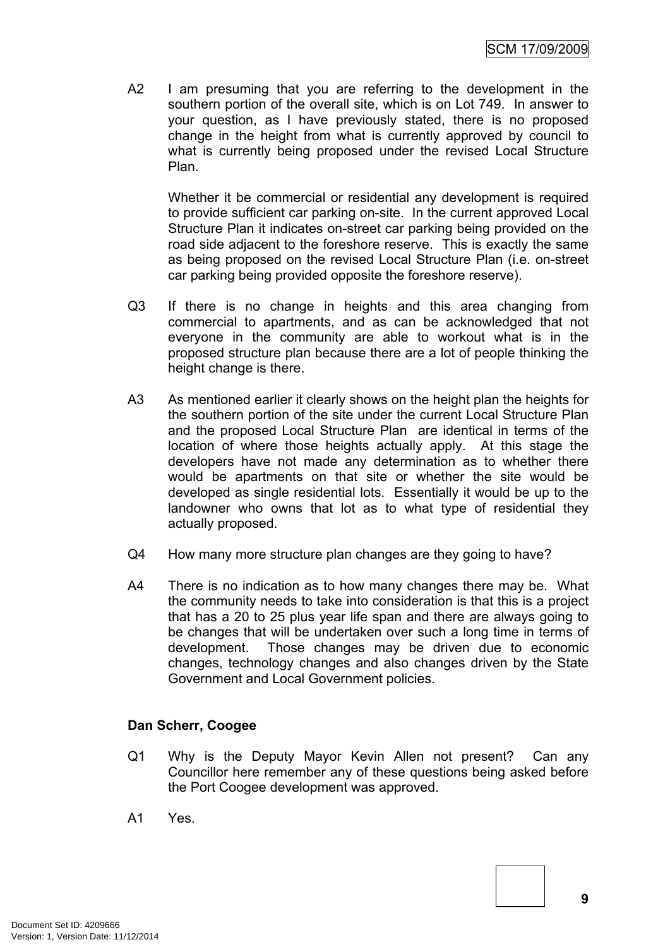A2 I am presuming that you are referring to the development in the southern portion of the overall site, which is on Lot 749. In answer to your question, as I have previously stated, there is no proposed change in the height from what is currently approved by council to what is currently being proposed under the revised Local Structure Plan.

Whether it be commercial or residential any development is required to provide sufficient car parking on-site. In the current approved Local Structure Plan it indicates on-street car parking being provided on the road side adjacent to the foreshore reserve. This is exactly the same as being proposed on the revised Local Structure Plan (i.e. on-street car parking being provided opposite the foreshore reserve).

- Q3 If there is no change in heights and this area changing from commercial to apartments, and as can be acknowledged that not everyone in the community are able to workout what is in the proposed structure plan because there are a lot of people thinking the height change is there.
- A3 As mentioned earlier it clearly shows on the height plan the heights for the southern portion of the site under the current Local Structure Plan and the proposed Local Structure Plan are identical in terms of the location of where those heights actually apply. At this stage the developers have not made any determination as to whether there would be apartments on that site or whether the site would be developed as single residential lots. Essentially it would be up to the landowner who owns that lot as to what type of residential they actually proposed.
- Q4 How many more structure plan changes are they going to have?
- A4 There is no indication as to how many changes there may be. What the community needs to take into consideration is that this is a project that has a 20 to 25 plus year life span and there are always going to be changes that will be undertaken over such a long time in terms of development. Those changes may be driven due to economic changes, technology changes and also changes driven by the State Government and Local Government policies.

### **Dan Scherr, Coogee**

- Q1 Why is the Deputy Mayor Kevin Allen not present? Can any Councillor here remember any of these questions being asked before the Port Coogee development was approved.
- A1 Yes.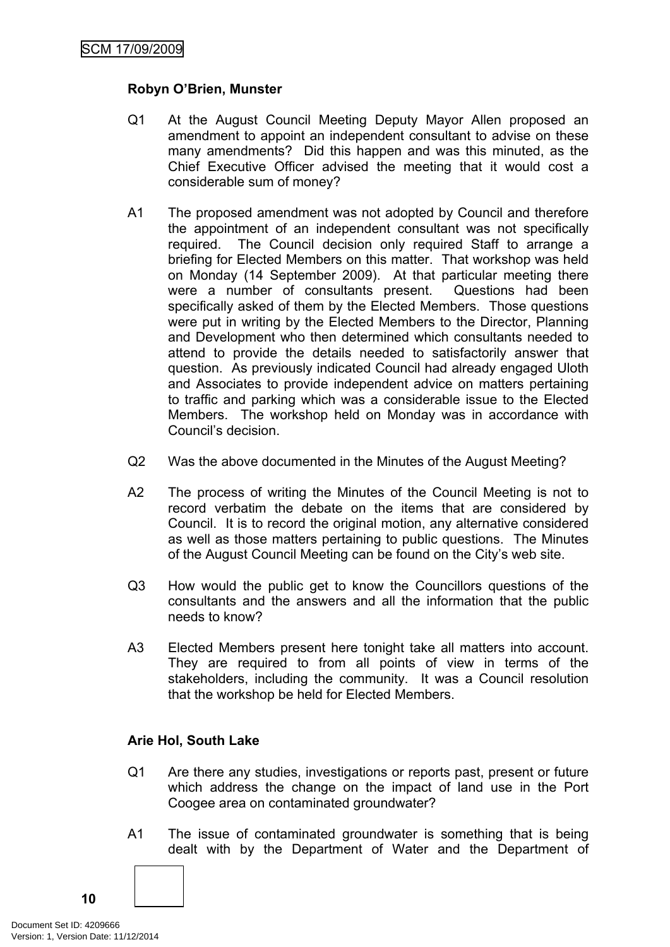### **Robyn O'Brien, Munster**

- Q1 At the August Council Meeting Deputy Mayor Allen proposed an amendment to appoint an independent consultant to advise on these many amendments? Did this happen and was this minuted, as the Chief Executive Officer advised the meeting that it would cost a considerable sum of money?
- A1 The proposed amendment was not adopted by Council and therefore the appointment of an independent consultant was not specifically required. The Council decision only required Staff to arrange a briefing for Elected Members on this matter. That workshop was held on Monday (14 September 2009). At that particular meeting there were a number of consultants present. Questions had been specifically asked of them by the Elected Members. Those questions were put in writing by the Elected Members to the Director, Planning and Development who then determined which consultants needed to attend to provide the details needed to satisfactorily answer that question. As previously indicated Council had already engaged Uloth and Associates to provide independent advice on matters pertaining to traffic and parking which was a considerable issue to the Elected Members. The workshop held on Monday was in accordance with Council's decision.
- Q2 Was the above documented in the Minutes of the August Meeting?
- A2 The process of writing the Minutes of the Council Meeting is not to record verbatim the debate on the items that are considered by Council. It is to record the original motion, any alternative considered as well as those matters pertaining to public questions. The Minutes of the August Council Meeting can be found on the City's web site.
- Q3 How would the public get to know the Councillors questions of the consultants and the answers and all the information that the public needs to know?
- A3 Elected Members present here tonight take all matters into account. They are required to from all points of view in terms of the stakeholders, including the community. It was a Council resolution that the workshop be held for Elected Members.

### **Arie Hol, South Lake**

- Q1 Are there any studies, investigations or reports past, present or future which address the change on the impact of land use in the Port Coogee area on contaminated groundwater?
- A1 The issue of contaminated groundwater is something that is being dealt with by the Department of Water and the Department of

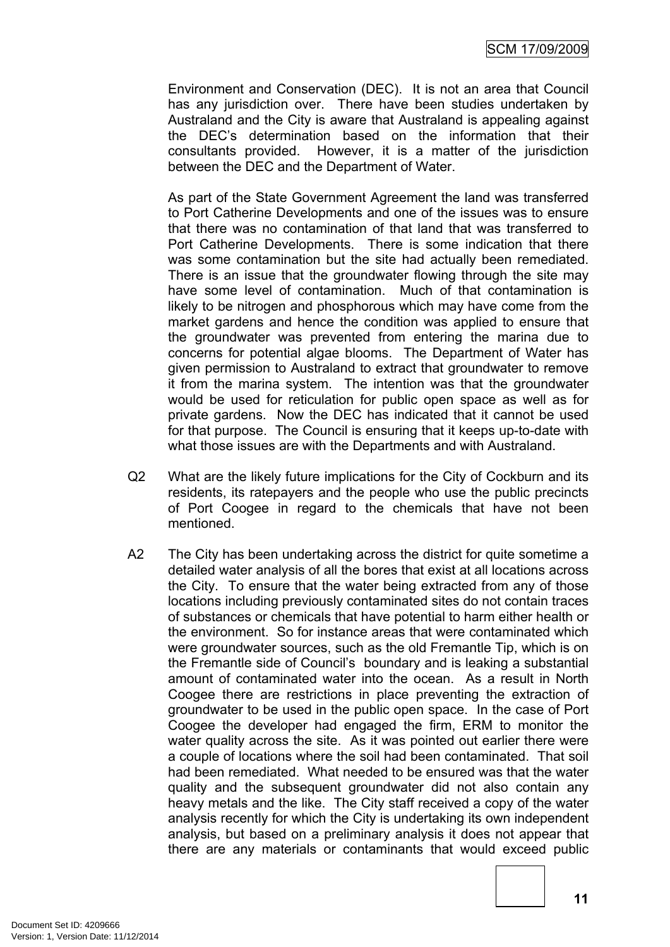Environment and Conservation (DEC). It is not an area that Council has any jurisdiction over. There have been studies undertaken by Australand and the City is aware that Australand is appealing against the DEC's determination based on the information that their consultants provided. However, it is a matter of the jurisdiction between the DEC and the Department of Water.

As part of the State Government Agreement the land was transferred to Port Catherine Developments and one of the issues was to ensure that there was no contamination of that land that was transferred to Port Catherine Developments. There is some indication that there was some contamination but the site had actually been remediated. There is an issue that the groundwater flowing through the site may have some level of contamination. Much of that contamination is likely to be nitrogen and phosphorous which may have come from the market gardens and hence the condition was applied to ensure that the groundwater was prevented from entering the marina due to concerns for potential algae blooms. The Department of Water has given permission to Australand to extract that groundwater to remove it from the marina system. The intention was that the groundwater would be used for reticulation for public open space as well as for private gardens. Now the DEC has indicated that it cannot be used for that purpose. The Council is ensuring that it keeps up-to-date with what those issues are with the Departments and with Australand.

- Q2 What are the likely future implications for the City of Cockburn and its residents, its ratepayers and the people who use the public precincts of Port Coogee in regard to the chemicals that have not been mentioned.
- A2 The City has been undertaking across the district for quite sometime a detailed water analysis of all the bores that exist at all locations across the City. To ensure that the water being extracted from any of those locations including previously contaminated sites do not contain traces of substances or chemicals that have potential to harm either health or the environment. So for instance areas that were contaminated which were groundwater sources, such as the old Fremantle Tip, which is on the Fremantle side of Council's boundary and is leaking a substantial amount of contaminated water into the ocean. As a result in North Coogee there are restrictions in place preventing the extraction of groundwater to be used in the public open space. In the case of Port Coogee the developer had engaged the firm, ERM to monitor the water quality across the site. As it was pointed out earlier there were a couple of locations where the soil had been contaminated. That soil had been remediated. What needed to be ensured was that the water quality and the subsequent groundwater did not also contain any heavy metals and the like. The City staff received a copy of the water analysis recently for which the City is undertaking its own independent analysis, but based on a preliminary analysis it does not appear that there are any materials or contaminants that would exceed public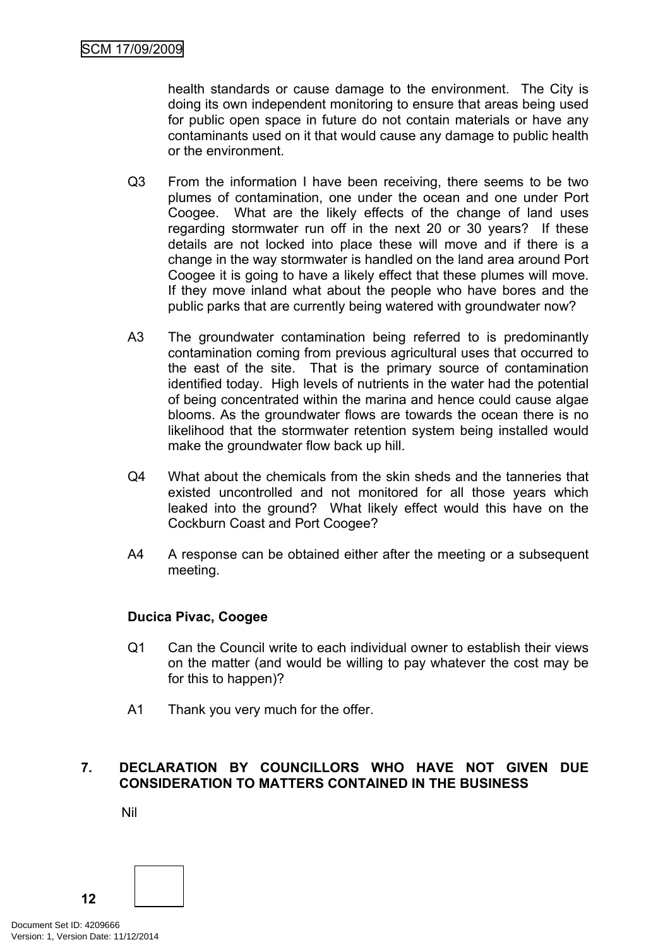health standards or cause damage to the environment. The City is doing its own independent monitoring to ensure that areas being used for public open space in future do not contain materials or have any contaminants used on it that would cause any damage to public health or the environment.

- Q3 From the information I have been receiving, there seems to be two plumes of contamination, one under the ocean and one under Port Coogee. What are the likely effects of the change of land uses regarding stormwater run off in the next 20 or 30 years? If these details are not locked into place these will move and if there is a change in the way stormwater is handled on the land area around Port Coogee it is going to have a likely effect that these plumes will move. If they move inland what about the people who have bores and the public parks that are currently being watered with groundwater now?
- A3 The groundwater contamination being referred to is predominantly contamination coming from previous agricultural uses that occurred to the east of the site. That is the primary source of contamination identified today. High levels of nutrients in the water had the potential of being concentrated within the marina and hence could cause algae blooms. As the groundwater flows are towards the ocean there is no likelihood that the stormwater retention system being installed would make the groundwater flow back up hill.
- Q4 What about the chemicals from the skin sheds and the tanneries that existed uncontrolled and not monitored for all those years which leaked into the ground? What likely effect would this have on the Cockburn Coast and Port Coogee?
- A4 A response can be obtained either after the meeting or a subsequent meeting.

### **Ducica Pivac, Coogee**

- Q1 Can the Council write to each individual owner to establish their views on the matter (and would be willing to pay whatever the cost may be for this to happen)?
- A1 Thank you very much for the offer.

### <span id="page-13-0"></span>**7. DECLARATION BY COUNCILLORS WHO HAVE NOT GIVEN DUE CONSIDERATION TO MATTERS CONTAINED IN THE BUSINESS**

Nil

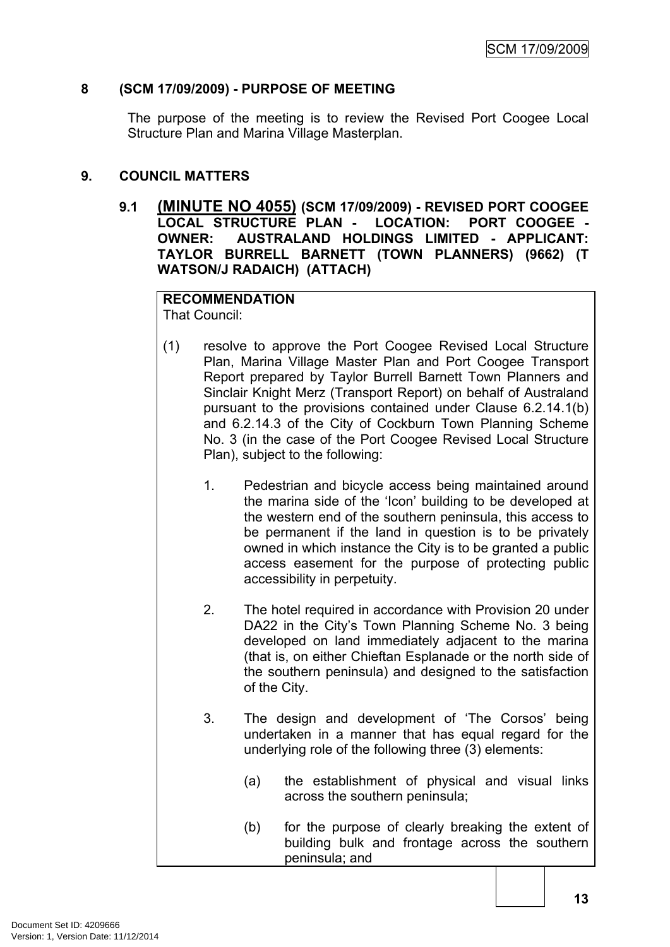### <span id="page-14-0"></span>**8 (SCM 17/09/2009) - PURPOSE OF MEETING**

The purpose of the meeting is to review the Revised Port Coogee Local Structure Plan and Marina Village Masterplan.

### <span id="page-14-1"></span>**9. COUNCIL MATTERS**

<span id="page-14-2"></span>**9.1 (MINUTE NO 4055) (SCM 17/09/2009) - REVISED PORT COOGEE LOCAL STRUCTURE PLAN - LOCATION: PORT COOGEE - OWNER: AUSTRALAND HOLDINGS LIMITED - APPLICANT: TAYLOR BURRELL BARNETT (TOWN PLANNERS) (9662) (T WATSON/J RADAICH) (ATTACH)**

#### **RECOMMENDATION** That Council:

- (1) resolve to approve the Port Coogee Revised Local Structure Plan, Marina Village Master Plan and Port Coogee Transport Report prepared by Taylor Burrell Barnett Town Planners and Sinclair Knight Merz (Transport Report) on behalf of Australand pursuant to the provisions contained under Clause 6.2.14.1(b) and 6.2.14.3 of the City of Cockburn Town Planning Scheme No. 3 (in the case of the Port Coogee Revised Local Structure Plan), subject to the following:
	- 1. Pedestrian and bicycle access being maintained around the marina side of the 'Icon' building to be developed at the western end of the southern peninsula, this access to be permanent if the land in question is to be privately owned in which instance the City is to be granted a public access easement for the purpose of protecting public accessibility in perpetuity.
	- 2. The hotel required in accordance with Provision 20 under DA22 in the City's Town Planning Scheme No. 3 being developed on land immediately adjacent to the marina (that is, on either Chieftan Esplanade or the north side of the southern peninsula) and designed to the satisfaction of the City.
	- 3. The design and development of 'The Corsos' being undertaken in a manner that has equal regard for the underlying role of the following three (3) elements:
		- (a) the establishment of physical and visual links across the southern peninsula;
		- (b) for the purpose of clearly breaking the extent of building bulk and frontage across the southern peninsula; and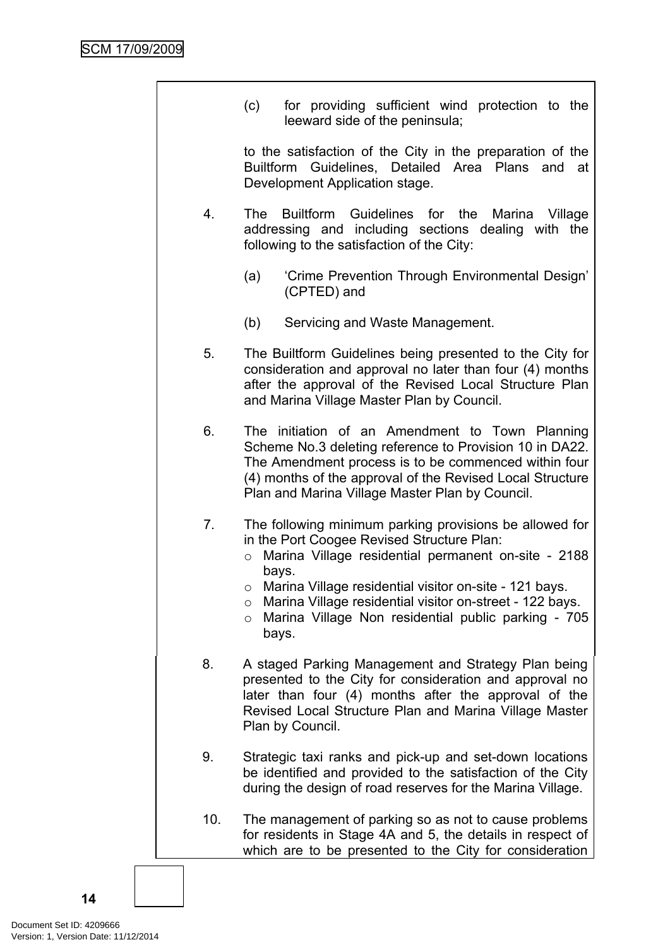| (c) |                                |  |  | for providing sufficient wind protection to the |  |
|-----|--------------------------------|--|--|-------------------------------------------------|--|
|     | leeward side of the peninsula; |  |  |                                                 |  |

to the satisfaction of the City in the preparation of the Builtform Guidelines, Detailed Area Plans and at Development Application stage.

- 4. The Builtform Guidelines for the Marina Village addressing and including sections dealing with the following to the satisfaction of the City:
	- (a) 'Crime Prevention Through Environmental Design' (CPTED) and
	- (b) Servicing and Waste Management.
- 5. The Builtform Guidelines being presented to the City for consideration and approval no later than four (4) months after the approval of the Revised Local Structure Plan and Marina Village Master Plan by Council.
- 6. The initiation of an Amendment to Town Planning Scheme No.3 deleting reference to Provision 10 in DA22. The Amendment process is to be commenced within four (4) months of the approval of the Revised Local Structure Plan and Marina Village Master Plan by Council.
- 7. The following minimum parking provisions be allowed for in the Port Coogee Revised Structure Plan:
	- o Marina Village residential permanent on-site 2188 bays.
	- o Marina Village residential visitor on-site 121 bays.
	- o Marina Village residential visitor on-street 122 bays.
	- o Marina Village Non residential public parking 705 bays.
- 8. A staged Parking Management and Strategy Plan being presented to the City for consideration and approval no later than four (4) months after the approval of the Revised Local Structure Plan and Marina Village Master Plan by Council.
- 9. Strategic taxi ranks and pick-up and set-down locations be identified and provided to the satisfaction of the City during the design of road reserves for the Marina Village.
- 10. The management of parking so as not to cause problems for residents in Stage 4A and 5, the details in respect of which are to be presented to the City for consideration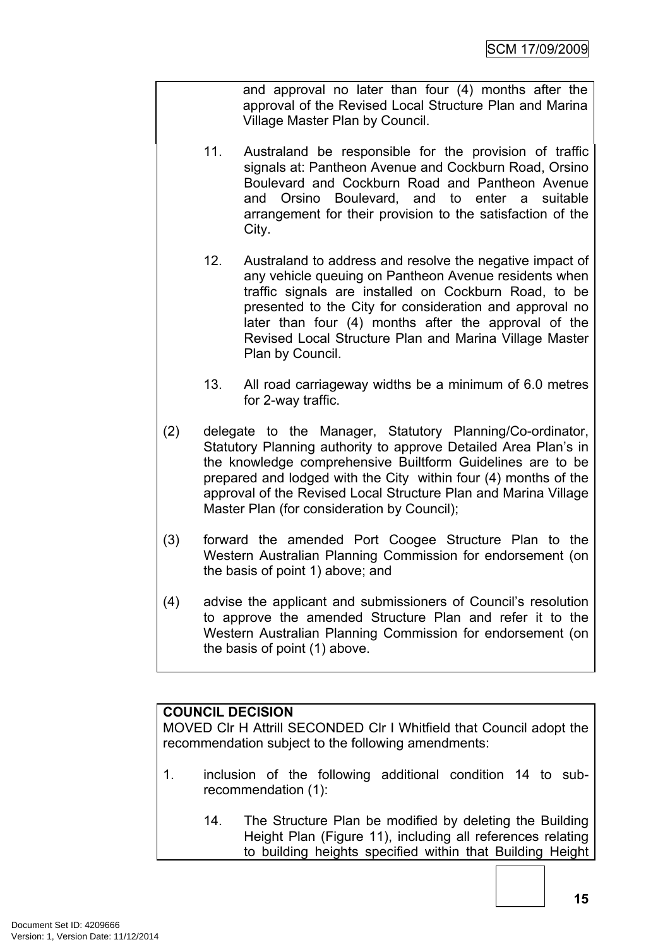and approval no later than four (4) months after the approval of the Revised Local Structure Plan and Marina Village Master Plan by Council.

- 11. Australand be responsible for the provision of traffic signals at: Pantheon Avenue and Cockburn Road, Orsino Boulevard and Cockburn Road and Pantheon Avenue and Orsino Boulevard, and to enter a suitable arrangement for their provision to the satisfaction of the City.
- 12. Australand to address and resolve the negative impact of any vehicle queuing on Pantheon Avenue residents when traffic signals are installed on Cockburn Road, to be presented to the City for consideration and approval no later than four (4) months after the approval of the Revised Local Structure Plan and Marina Village Master Plan by Council.
- 13. All road carriageway widths be a minimum of 6.0 metres for 2-way traffic.
- (2) delegate to the Manager, Statutory Planning/Co-ordinator, Statutory Planning authority to approve Detailed Area Plan's in the knowledge comprehensive Builtform Guidelines are to be prepared and lodged with the City within four (4) months of the approval of the Revised Local Structure Plan and Marina Village Master Plan (for consideration by Council);
- (3) forward the amended Port Coogee Structure Plan to the Western Australian Planning Commission for endorsement (on the basis of point 1) above; and
- (4) advise the applicant and submissioners of Council's resolution to approve the amended Structure Plan and refer it to the Western Australian Planning Commission for endorsement (on the basis of point (1) above.

### **COUNCIL DECISION**

MOVED Clr H Attrill SECONDED Clr I Whitfield that Council adopt the recommendation subject to the following amendments:

- 1. inclusion of the following additional condition 14 to subrecommendation (1):
	- 14. The Structure Plan be modified by deleting the Building Height Plan (Figure 11), including all references relating to building heights specified within that Building Height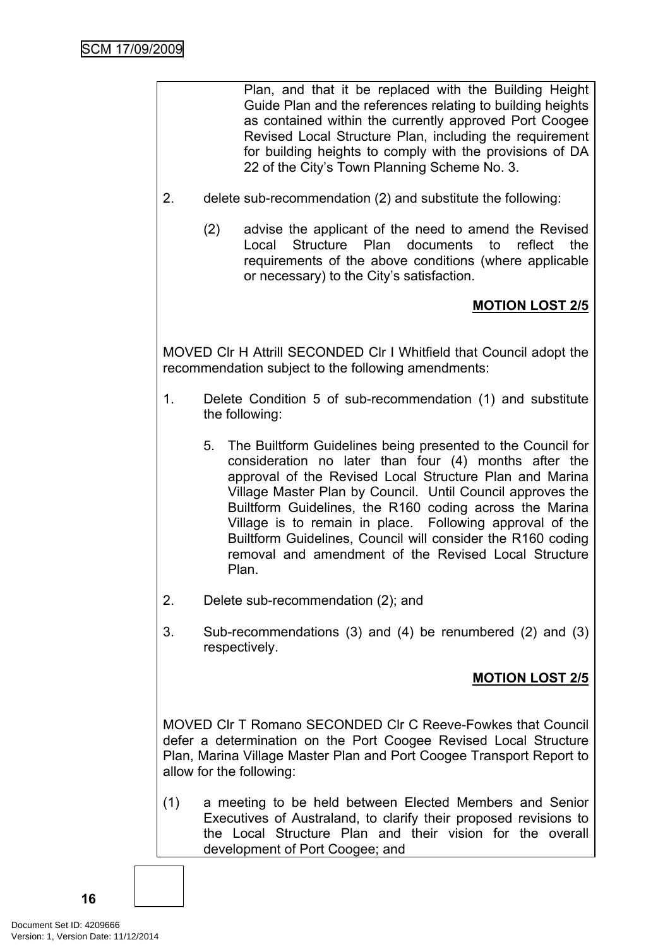Plan, and that it be replaced with the Building Height Guide Plan and the references relating to building heights as contained within the currently approved Port Coogee Revised Local Structure Plan, including the requirement for building heights to comply with the provisions of DA 22 of the City's Town Planning Scheme No. 3.

- 2. delete sub-recommendation (2) and substitute the following:
	- (2) advise the applicant of the need to amend the Revised Local Structure Plan documents to reflect the requirements of the above conditions (where applicable or necessary) to the City's satisfaction.

# **MOTION LOST 2/5**

MOVED Clr H Attrill SECONDED Clr I Whitfield that Council adopt the recommendation subject to the following amendments:

- 1. Delete Condition 5 of sub-recommendation (1) and substitute the following:
	- 5. The Builtform Guidelines being presented to the Council for consideration no later than four (4) months after the approval of the Revised Local Structure Plan and Marina Village Master Plan by Council. Until Council approves the Builtform Guidelines, the R160 coding across the Marina Village is to remain in place. Following approval of the Builtform Guidelines, Council will consider the R160 coding removal and amendment of the Revised Local Structure Plan.
- 2. Delete sub-recommendation (2); and
- 3. Sub-recommendations (3) and (4) be renumbered (2) and (3) respectively.

### **MOTION LOST 2/5**

MOVED Clr T Romano SECONDED Clr C Reeve-Fowkes that Council defer a determination on the Port Coogee Revised Local Structure Plan, Marina Village Master Plan and Port Coogee Transport Report to allow for the following:

(1) a meeting to be held between Elected Members and Senior Executives of Australand, to clarify their proposed revisions to the Local Structure Plan and their vision for the overall development of Port Coogee; and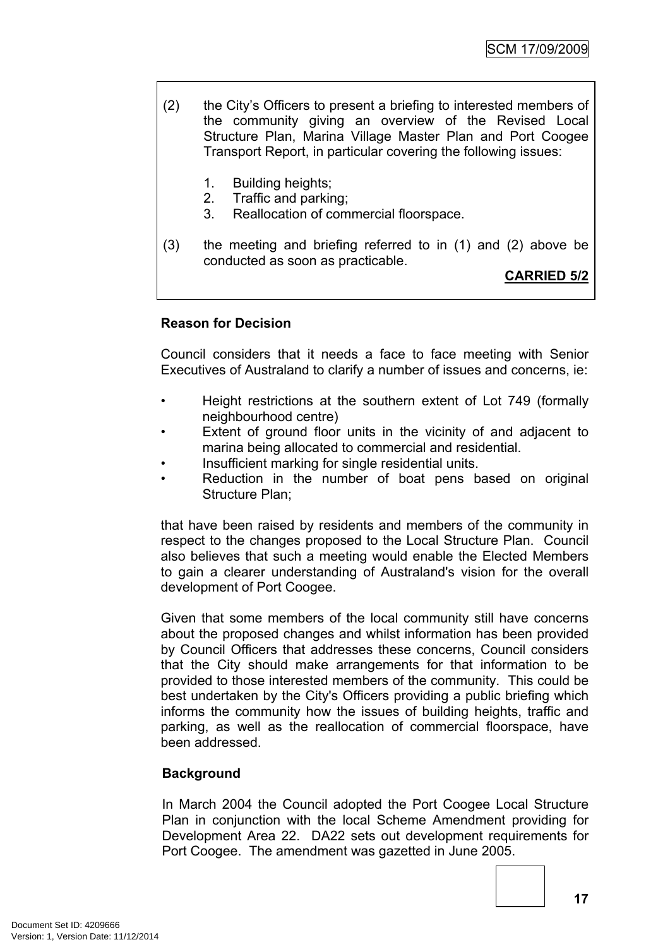- (2) the City's Officers to present a briefing to interested members of the community giving an overview of the Revised Local Structure Plan, Marina Village Master Plan and Port Coogee Transport Report, in particular covering the following issues:
	- 1. Building heights;
	- 2. Traffic and parking;
	- 3. Reallocation of commercial floorspace.
- (3) the meeting and briefing referred to in (1) and (2) above be conducted as soon as practicable.

**CARRIED 5/2**

### **Reason for Decision**

Council considers that it needs a face to face meeting with Senior Executives of Australand to clarify a number of issues and concerns, ie:

- Height restrictions at the southern extent of Lot 749 (formally neighbourhood centre)
- Extent of ground floor units in the vicinity of and adjacent to marina being allocated to commercial and residential.
- Insufficient marking for single residential units.
- Reduction in the number of boat pens based on original Structure Plan;

that have been raised by residents and members of the community in respect to the changes proposed to the Local Structure Plan. Council also believes that such a meeting would enable the Elected Members to gain a clearer understanding of Australand's vision for the overall development of Port Coogee.

Given that some members of the local community still have concerns about the proposed changes and whilst information has been provided by Council Officers that addresses these concerns, Council considers that the City should make arrangements for that information to be provided to those interested members of the community. This could be best undertaken by the City's Officers providing a public briefing which informs the community how the issues of building heights, traffic and parking, as well as the reallocation of commercial floorspace, have been addressed.

### **Background**

In March 2004 the Council adopted the Port Coogee Local Structure Plan in conjunction with the local Scheme Amendment providing for Development Area 22. DA22 sets out development requirements for Port Coogee. The amendment was gazetted in June 2005.

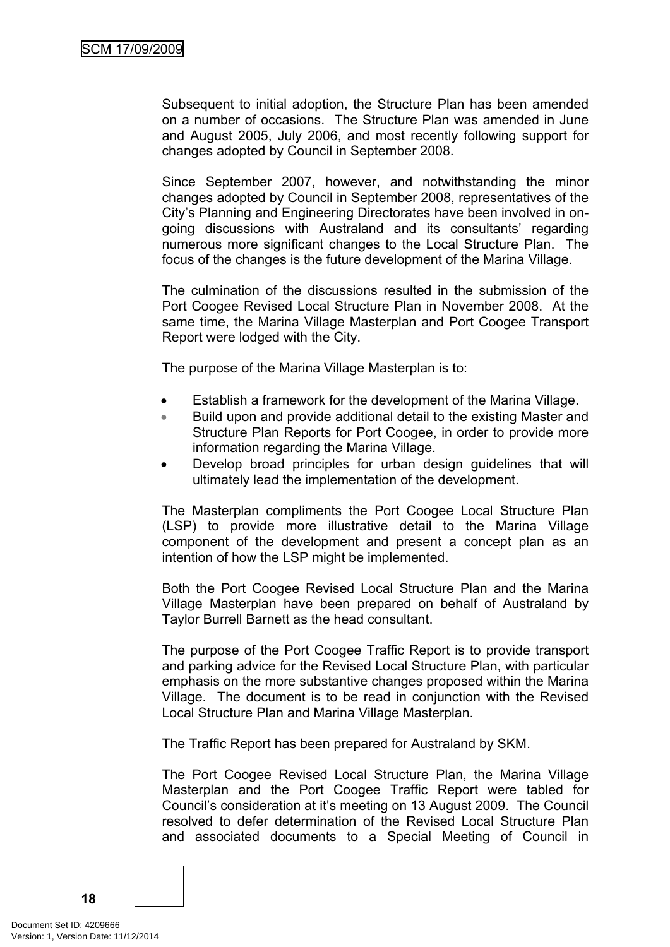Subsequent to initial adoption, the Structure Plan has been amended on a number of occasions. The Structure Plan was amended in June and August 2005, July 2006, and most recently following support for changes adopted by Council in September 2008.

Since September 2007, however, and notwithstanding the minor changes adopted by Council in September 2008, representatives of the City's Planning and Engineering Directorates have been involved in ongoing discussions with Australand and its consultants' regarding numerous more significant changes to the Local Structure Plan. The focus of the changes is the future development of the Marina Village.

The culmination of the discussions resulted in the submission of the Port Coogee Revised Local Structure Plan in November 2008. At the same time, the Marina Village Masterplan and Port Coogee Transport Report were lodged with the City.

The purpose of the Marina Village Masterplan is to:

- Establish a framework for the development of the Marina Village.
- Build upon and provide additional detail to the existing Master and Structure Plan Reports for Port Coogee, in order to provide more information regarding the Marina Village.
- Develop broad principles for urban design guidelines that will ultimately lead the implementation of the development.

The Masterplan compliments the Port Coogee Local Structure Plan (LSP) to provide more illustrative detail to the Marina Village component of the development and present a concept plan as an intention of how the LSP might be implemented.

Both the Port Coogee Revised Local Structure Plan and the Marina Village Masterplan have been prepared on behalf of Australand by Taylor Burrell Barnett as the head consultant.

The purpose of the Port Coogee Traffic Report is to provide transport and parking advice for the Revised Local Structure Plan, with particular emphasis on the more substantive changes proposed within the Marina Village. The document is to be read in conjunction with the Revised Local Structure Plan and Marina Village Masterplan.

The Traffic Report has been prepared for Australand by SKM.

The Port Coogee Revised Local Structure Plan, the Marina Village Masterplan and the Port Coogee Traffic Report were tabled for Council's consideration at it's meeting on 13 August 2009. The Council resolved to defer determination of the Revised Local Structure Plan and associated documents to a Special Meeting of Council in

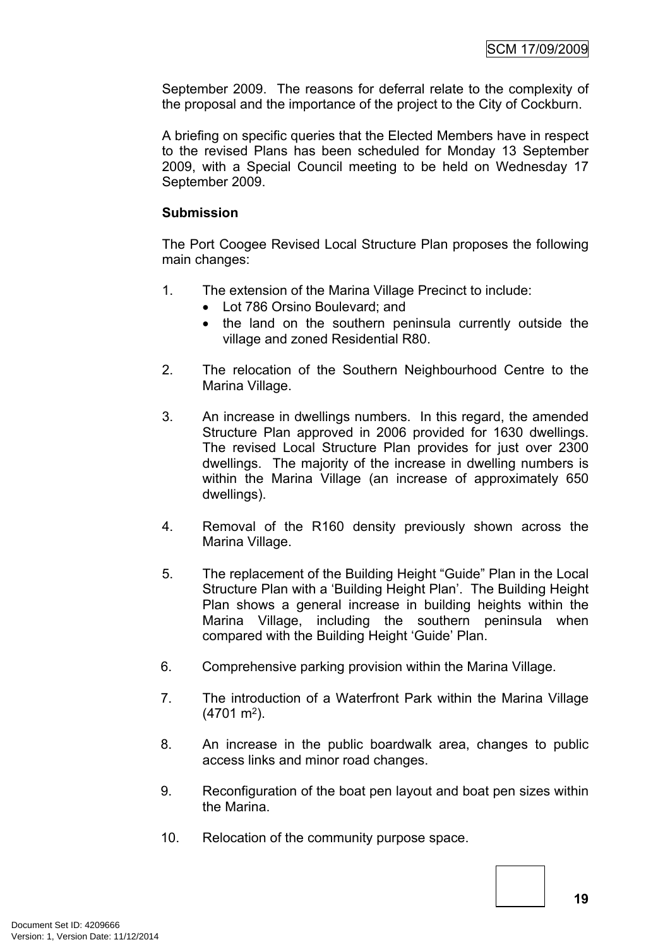September 2009. The reasons for deferral relate to the complexity of the proposal and the importance of the project to the City of Cockburn.

A briefing on specific queries that the Elected Members have in respect to the revised Plans has been scheduled for Monday 13 September 2009, with a Special Council meeting to be held on Wednesday 17 September 2009.

### **Submission**

The Port Coogee Revised Local Structure Plan proposes the following main changes:

- 1. The extension of the Marina Village Precinct to include:
	- Lot 786 Orsino Boulevard: and
	- the land on the southern peninsula currently outside the village and zoned Residential R80.
- 2. The relocation of the Southern Neighbourhood Centre to the Marina Village.
- 3. An increase in dwellings numbers. In this regard, the amended Structure Plan approved in 2006 provided for 1630 dwellings. The revised Local Structure Plan provides for just over 2300 dwellings. The majority of the increase in dwelling numbers is within the Marina Village (an increase of approximately 650 dwellings).
- 4. Removal of the R160 density previously shown across the Marina Village.
- 5. The replacement of the Building Height "Guide" Plan in the Local Structure Plan with a 'Building Height Plan'. The Building Height Plan shows a general increase in building heights within the Marina Village, including the southern peninsula when compared with the Building Height 'Guide' Plan.
- 6. Comprehensive parking provision within the Marina Village.
- 7. The introduction of a Waterfront Park within the Marina Village  $(4701 \text{ m}^2).$
- 8. An increase in the public boardwalk area, changes to public access links and minor road changes.
- 9. Reconfiguration of the boat pen layout and boat pen sizes within the Marina.
- 10. Relocation of the community purpose space.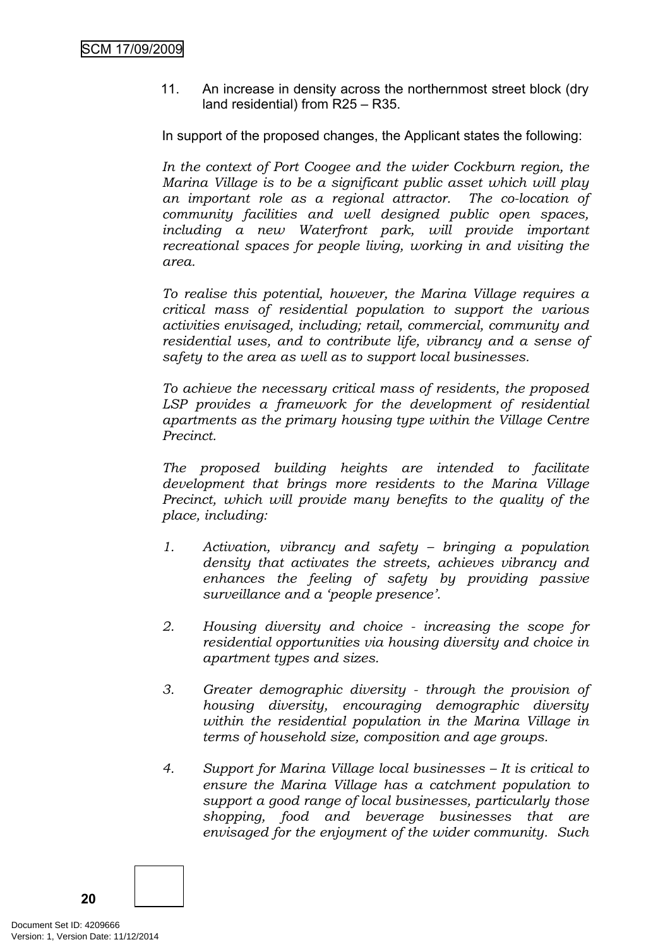11. An increase in density across the northernmost street block (dry land residential) from R25 – R35.

In support of the proposed changes, the Applicant states the following:

*In the context of Port Coogee and the wider Cockburn region, the Marina Village is to be a significant public asset which will play an important role as a regional attractor. The co-location of community facilities and well designed public open spaces, including a new Waterfront park, will provide important recreational spaces for people living, working in and visiting the area.* 

*To realise this potential, however, the Marina Village requires a critical mass of residential population to support the various activities envisaged, including; retail, commercial, community and residential uses, and to contribute life, vibrancy and a sense of safety to the area as well as to support local businesses.*

*To achieve the necessary critical mass of residents, the proposed LSP provides a framework for the development of residential apartments as the primary housing type within the Village Centre Precinct.*

*The proposed building heights are intended to facilitate development that brings more residents to the Marina Village Precinct, which will provide many benefits to the quality of the place, including:*

- *1. Activation, vibrancy and safety – bringing a population density that activates the streets, achieves vibrancy and enhances the feeling of safety by providing passive surveillance and a 'people presence'.*
- *2. Housing diversity and choice - increasing the scope for residential opportunities via housing diversity and choice in apartment types and sizes.*
- *3. Greater demographic diversity - through the provision of housing diversity, encouraging demographic diversity within the residential population in the Marina Village in terms of household size, composition and age groups.*
- *4. Support for Marina Village local businesses – It is critical to ensure the Marina Village has a catchment population to support a good range of local businesses, particularly those shopping, food and beverage businesses that are envisaged for the enjoyment of the wider community. Such*

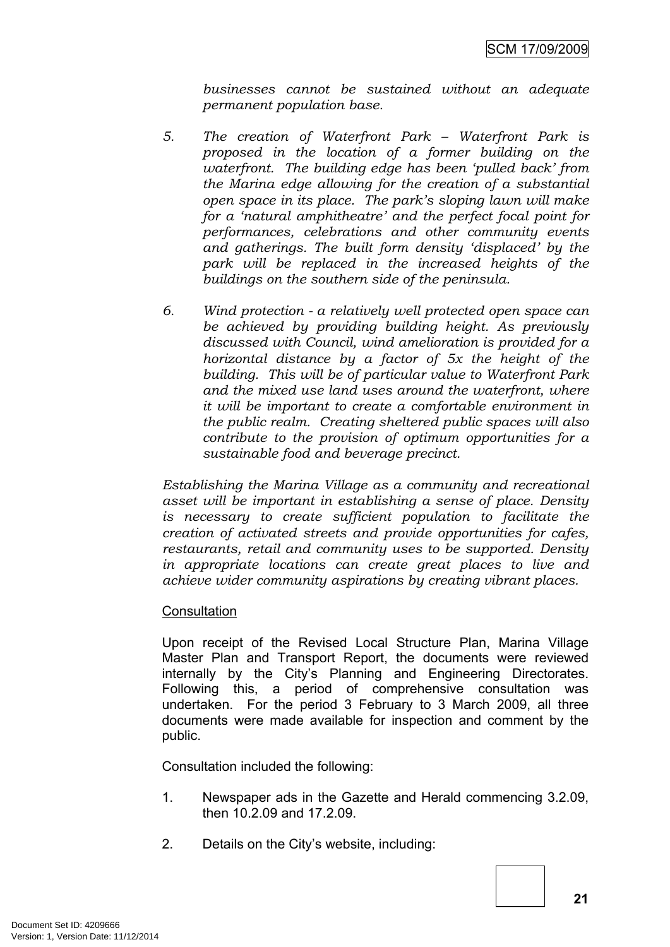*businesses cannot be sustained without an adequate permanent population base.*

- *5. The creation of Waterfront Park – Waterfront Park is proposed in the location of a former building on the waterfront. The building edge has been 'pulled back' from the Marina edge allowing for the creation of a substantial open space in its place. The park's sloping lawn will make for a 'natural amphitheatre' and the perfect focal point for performances, celebrations and other community events and gatherings. The built form density 'displaced' by the park will be replaced in the increased heights of the buildings on the southern side of the peninsula.*
- *6. Wind protection - a relatively well protected open space can be achieved by providing building height. As previously discussed with Council, wind amelioration is provided for a horizontal distance by a factor of 5x the height of the building. This will be of particular value to Waterfront Park and the mixed use land uses around the waterfront, where it will be important to create a comfortable environment in the public realm. Creating sheltered public spaces will also contribute to the provision of optimum opportunities for a sustainable food and beverage precinct.*

*Establishing the Marina Village as a community and recreational asset will be important in establishing a sense of place. Density is necessary to create sufficient population to facilitate the creation of activated streets and provide opportunities for cafes, restaurants, retail and community uses to be supported. Density in appropriate locations can create great places to live and achieve wider community aspirations by creating vibrant places.*

### **Consultation**

Upon receipt of the Revised Local Structure Plan, Marina Village Master Plan and Transport Report, the documents were reviewed internally by the City's Planning and Engineering Directorates. Following this, a period of comprehensive consultation was undertaken. For the period 3 February to 3 March 2009, all three documents were made available for inspection and comment by the public.

Consultation included the following:

- 1. Newspaper ads in the Gazette and Herald commencing 3.2.09, then 10.2.09 and 17.2.09.
- 2. Details on the City's website, including: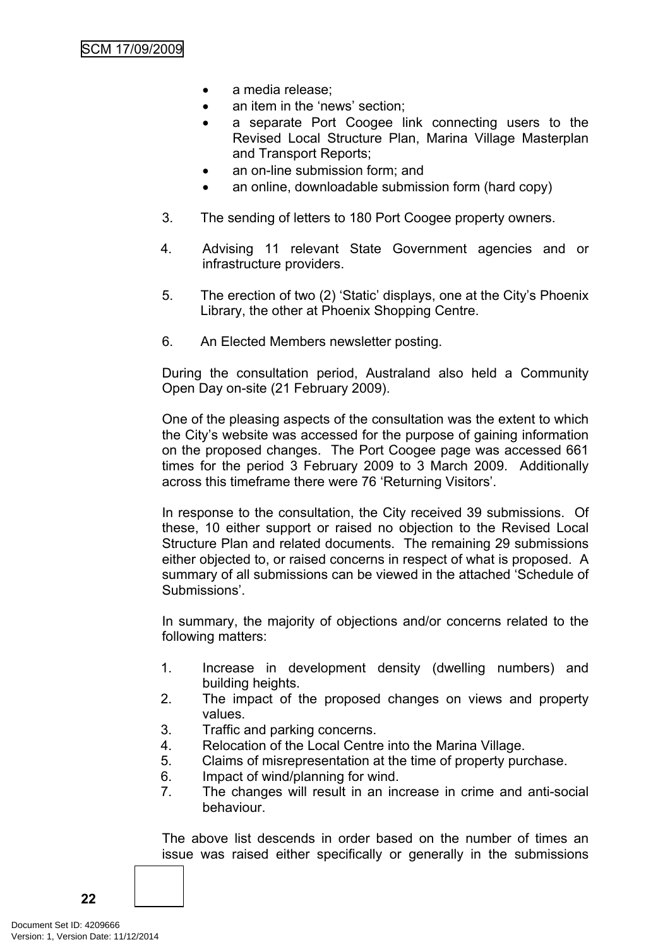- a media release;
- an item in the 'news' section;
- a separate Port Coogee link connecting users to the Revised Local Structure Plan, Marina Village Masterplan and Transport Reports;
- an on-line submission form; and
- an online, downloadable submission form (hard copy)
- 3. The sending of letters to 180 Port Coogee property owners.
- 4. Advising 11 relevant State Government agencies and or infrastructure providers.
- 5. The erection of two (2) 'Static' displays, one at the City's Phoenix Library, the other at Phoenix Shopping Centre.
- 6. An Elected Members newsletter posting.

During the consultation period, Australand also held a Community Open Day on-site (21 February 2009).

One of the pleasing aspects of the consultation was the extent to which the City's website was accessed for the purpose of gaining information on the proposed changes. The Port Coogee page was accessed 661 times for the period 3 February 2009 to 3 March 2009. Additionally across this timeframe there were 76 'Returning Visitors'.

In response to the consultation, the City received 39 submissions. Of these, 10 either support or raised no objection to the Revised Local Structure Plan and related documents. The remaining 29 submissions either objected to, or raised concerns in respect of what is proposed. A summary of all submissions can be viewed in the attached 'Schedule of Submissions'.

In summary, the majority of objections and/or concerns related to the following matters:

- 1. Increase in development density (dwelling numbers) and building heights.
- 2. The impact of the proposed changes on views and property values.
- 3. Traffic and parking concerns.
- 4. Relocation of the Local Centre into the Marina Village.
- 5. Claims of misrepresentation at the time of property purchase.
- 6. Impact of wind/planning for wind.
- 7. The changes will result in an increase in crime and anti-social behaviour.

The above list descends in order based on the number of times an issue was raised either specifically or generally in the submissions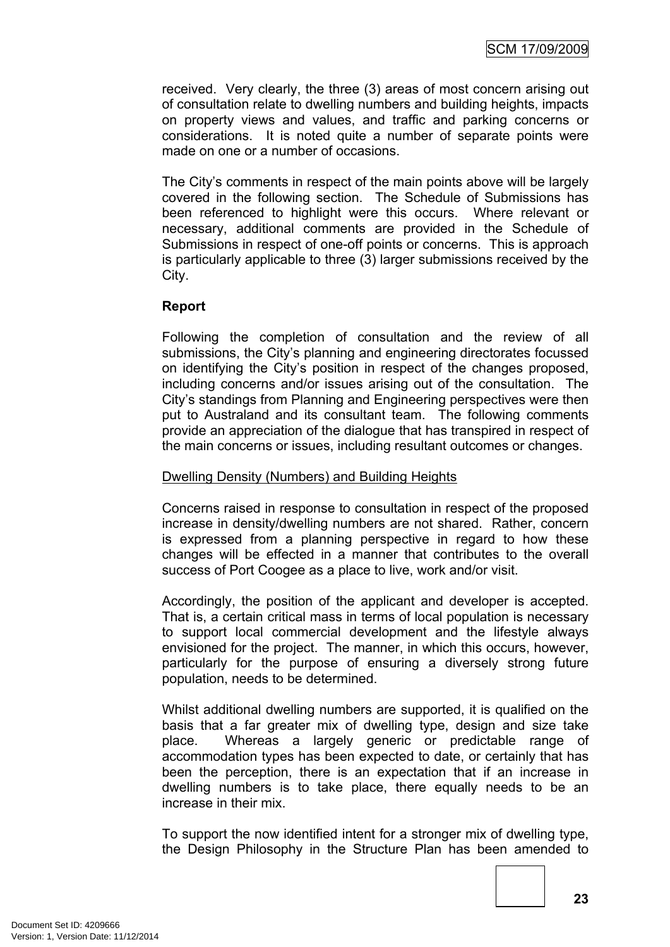received. Very clearly, the three (3) areas of most concern arising out of consultation relate to dwelling numbers and building heights, impacts on property views and values, and traffic and parking concerns or considerations. It is noted quite a number of separate points were made on one or a number of occasions.

The City's comments in respect of the main points above will be largely covered in the following section. The Schedule of Submissions has been referenced to highlight were this occurs. Where relevant or necessary, additional comments are provided in the Schedule of Submissions in respect of one-off points or concerns. This is approach is particularly applicable to three (3) larger submissions received by the City.

### **Report**

Following the completion of consultation and the review of all submissions, the City's planning and engineering directorates focussed on identifying the City's position in respect of the changes proposed, including concerns and/or issues arising out of the consultation. The City's standings from Planning and Engineering perspectives were then put to Australand and its consultant team. The following comments provide an appreciation of the dialogue that has transpired in respect of the main concerns or issues, including resultant outcomes or changes.

### Dwelling Density (Numbers) and Building Heights

Concerns raised in response to consultation in respect of the proposed increase in density/dwelling numbers are not shared. Rather, concern is expressed from a planning perspective in regard to how these changes will be effected in a manner that contributes to the overall success of Port Coogee as a place to live, work and/or visit.

Accordingly, the position of the applicant and developer is accepted. That is, a certain critical mass in terms of local population is necessary to support local commercial development and the lifestyle always envisioned for the project. The manner, in which this occurs, however, particularly for the purpose of ensuring a diversely strong future population, needs to be determined.

Whilst additional dwelling numbers are supported, it is qualified on the basis that a far greater mix of dwelling type, design and size take place. Whereas a largely generic or predictable range of accommodation types has been expected to date, or certainly that has been the perception, there is an expectation that if an increase in dwelling numbers is to take place, there equally needs to be an increase in their mix.

To support the now identified intent for a stronger mix of dwelling type, the Design Philosophy in the Structure Plan has been amended to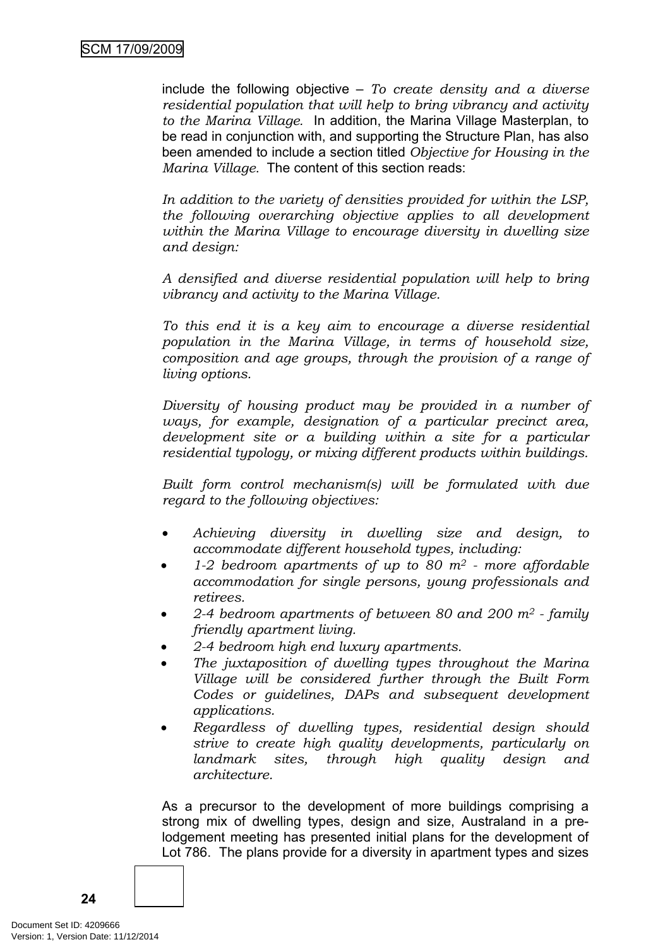include the following objective – *To create density and a diverse residential population that will help to bring vibrancy and activity to the Marina Village.* In addition, the Marina Village Masterplan, to be read in conjunction with, and supporting the Structure Plan, has also been amended to include a section titled *Objective for Housing in the Marina Village*. The content of this section reads:

*In addition to the variety of densities provided for within the LSP, the following overarching objective applies to all development within the Marina Village to encourage diversity in dwelling size and design:*

*A densified and diverse residential population will help to bring vibrancy and activity to the Marina Village.*

*To this end it is a key aim to encourage a diverse residential population in the Marina Village, in terms of household size, composition and age groups, through the provision of a range of living options.*

*Diversity of housing product may be provided in a number of ways, for example, designation of a particular precinct area, development site or a building within a site for a particular residential typology, or mixing different products within buildings.*

*Built form control mechanism(s) will be formulated with due regard to the following objectives:*

- *Achieving diversity in dwelling size and design, to accommodate different household types, including:*
- *1-2 bedroom apartments of up to 80 m<sup>2</sup> - more affordable accommodation for single persons, young professionals and retirees.*
- *2-4 bedroom apartments of between 80 and 200 m<sup>2</sup> - family friendly apartment living.*
- *2-4 bedroom high end luxury apartments.*
- *The juxtaposition of dwelling types throughout the Marina Village will be considered further through the Built Form Codes or guidelines, DAPs and subsequent development applications.*
- *Regardless of dwelling types, residential design should strive to create high quality developments, particularly on landmark sites, through high quality design and architecture.*

As a precursor to the development of more buildings comprising a strong mix of dwelling types, design and size, Australand in a prelodgement meeting has presented initial plans for the development of Lot 786. The plans provide for a diversity in apartment types and sizes

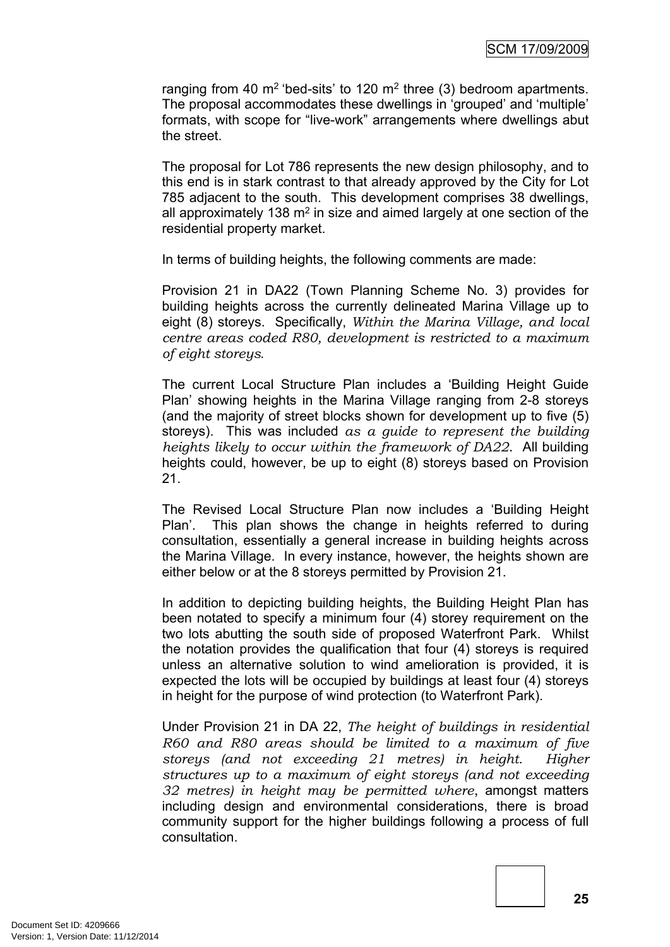ranging from 40  $m^2$  'bed-sits' to 120  $m^2$  three (3) bedroom apartments. The proposal accommodates these dwellings in 'grouped' and 'multiple' formats, with scope for "live-work" arrangements where dwellings abut the street.

The proposal for Lot 786 represents the new design philosophy, and to this end is in stark contrast to that already approved by the City for Lot 785 adjacent to the south. This development comprises 38 dwellings, all approximately 138  $m<sup>2</sup>$  in size and aimed largely at one section of the residential property market.

In terms of building heights, the following comments are made:

Provision 21 in DA22 (Town Planning Scheme No. 3) provides for building heights across the currently delineated Marina Village up to eight (8) storeys. Specifically, *Within the Marina Village, and local centre areas coded R80, development is restricted to a maximum of eight storeys.*

The current Local Structure Plan includes a 'Building Height Guide Plan' showing heights in the Marina Village ranging from 2-8 storeys (and the majority of street blocks shown for development up to five (5) storeys). This was included *as a guide to represent the building heights likely to occur within the framework of DA22*.All building heights could, however, be up to eight (8) storeys based on Provision 21.

The Revised Local Structure Plan now includes a 'Building Height Plan'. This plan shows the change in heights referred to during consultation, essentially a general increase in building heights across the Marina Village. In every instance, however, the heights shown are either below or at the 8 storeys permitted by Provision 21.

In addition to depicting building heights, the Building Height Plan has been notated to specify a minimum four (4) storey requirement on the two lots abutting the south side of proposed Waterfront Park. Whilst the notation provides the qualification that four (4) storeys is required unless an alternative solution to wind amelioration is provided, it is expected the lots will be occupied by buildings at least four (4) storeys in height for the purpose of wind protection (to Waterfront Park).

Under Provision 21 in DA 22, *The height of buildings in residential R60 and R80 areas should be limited to a maximum of five storeys (and not exceeding 21 metres) in height. Higher structures up to a maximum of eight storeys (and not exceeding 32 metres) in height may be permitted where*, amongst matters including design and environmental considerations, there is broad community support for the higher buildings following a process of full consultation.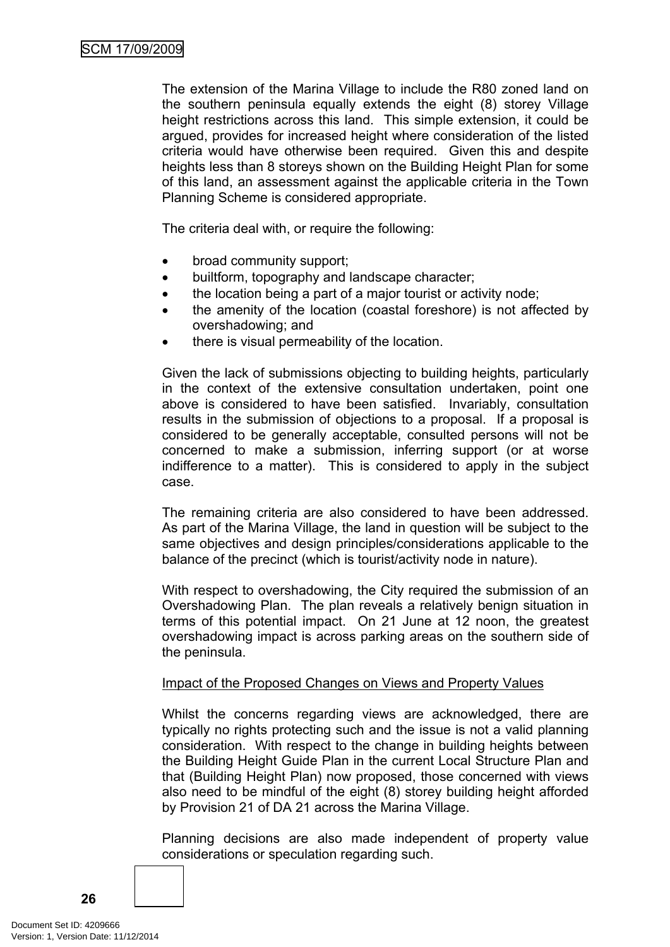The extension of the Marina Village to include the R80 zoned land on the southern peninsula equally extends the eight (8) storey Village height restrictions across this land. This simple extension, it could be argued, provides for increased height where consideration of the listed criteria would have otherwise been required. Given this and despite heights less than 8 storeys shown on the Building Height Plan for some of this land, an assessment against the applicable criteria in the Town Planning Scheme is considered appropriate.

The criteria deal with, or require the following:

- broad community support;
- builtform, topography and landscape character;
- the location being a part of a major tourist or activity node;
- the amenity of the location (coastal foreshore) is not affected by overshadowing; and
- there is visual permeability of the location.

Given the lack of submissions objecting to building heights, particularly in the context of the extensive consultation undertaken, point one above is considered to have been satisfied. Invariably, consultation results in the submission of objections to a proposal. If a proposal is considered to be generally acceptable, consulted persons will not be concerned to make a submission, inferring support (or at worse indifference to a matter). This is considered to apply in the subject case.

The remaining criteria are also considered to have been addressed. As part of the Marina Village, the land in question will be subject to the same objectives and design principles/considerations applicable to the balance of the precinct (which is tourist/activity node in nature).

With respect to overshadowing, the City required the submission of an Overshadowing Plan. The plan reveals a relatively benign situation in terms of this potential impact. On 21 June at 12 noon, the greatest overshadowing impact is across parking areas on the southern side of the peninsula.

### Impact of the Proposed Changes on Views and Property Values

Whilst the concerns regarding views are acknowledged, there are typically no rights protecting such and the issue is not a valid planning consideration. With respect to the change in building heights between the Building Height Guide Plan in the current Local Structure Plan and that (Building Height Plan) now proposed, those concerned with views also need to be mindful of the eight (8) storey building height afforded by Provision 21 of DA 21 across the Marina Village.

Planning decisions are also made independent of property value considerations or speculation regarding such.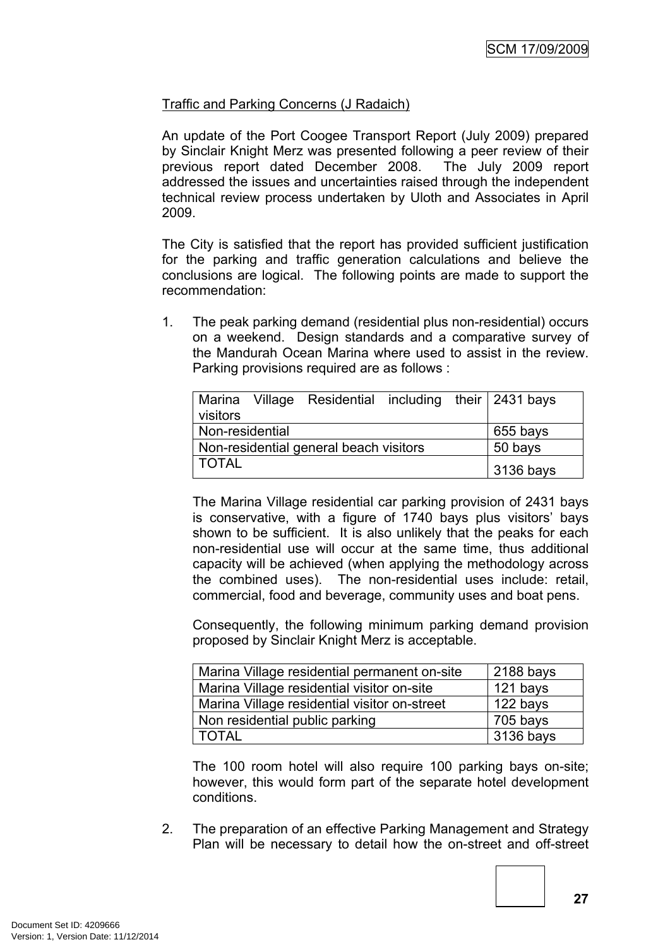### Traffic and Parking Concerns (J Radaich)

An update of the Port Coogee Transport Report (July 2009) prepared by Sinclair Knight Merz was presented following a peer review of their previous report dated December 2008. The July 2009 report addressed the issues and uncertainties raised through the independent technical review process undertaken by Uloth and Associates in April 2009.

The City is satisfied that the report has provided sufficient justification for the parking and traffic generation calculations and believe the conclusions are logical. The following points are made to support the recommendation:

1. The peak parking demand (residential plus non-residential) occurs on a weekend. Design standards and a comparative survey of the Mandurah Ocean Marina where used to assist in the review. Parking provisions required are as follows :

| visitors                               |           | Marina Village Residential including their 2431 bays |  |  |  |
|----------------------------------------|-----------|------------------------------------------------------|--|--|--|
| Non-residential                        | 655 bays  |                                                      |  |  |  |
| Non-residential general beach visitors | 50 bays   |                                                      |  |  |  |
| <b>TOTAL</b>                           | 3136 bays |                                                      |  |  |  |

The Marina Village residential car parking provision of 2431 bays is conservative, with a figure of 1740 bays plus visitors' bays shown to be sufficient. It is also unlikely that the peaks for each non-residential use will occur at the same time, thus additional capacity will be achieved (when applying the methodology across the combined uses). The non-residential uses include: retail, commercial, food and beverage, community uses and boat pens.

Consequently, the following minimum parking demand provision proposed by Sinclair Knight Merz is acceptable.

| Marina Village residential permanent on-site | 2188 bays |
|----------------------------------------------|-----------|
| Marina Village residential visitor on-site   | 121 bays  |
| Marina Village residential visitor on-street | 122 bays  |
| Non residential public parking               | 705 bays  |
| <b>TOTAL</b>                                 | 3136 bays |

The 100 room hotel will also require 100 parking bays on-site; however, this would form part of the separate hotel development conditions.

2. The preparation of an effective Parking Management and Strategy Plan will be necessary to detail how the on-street and off-street

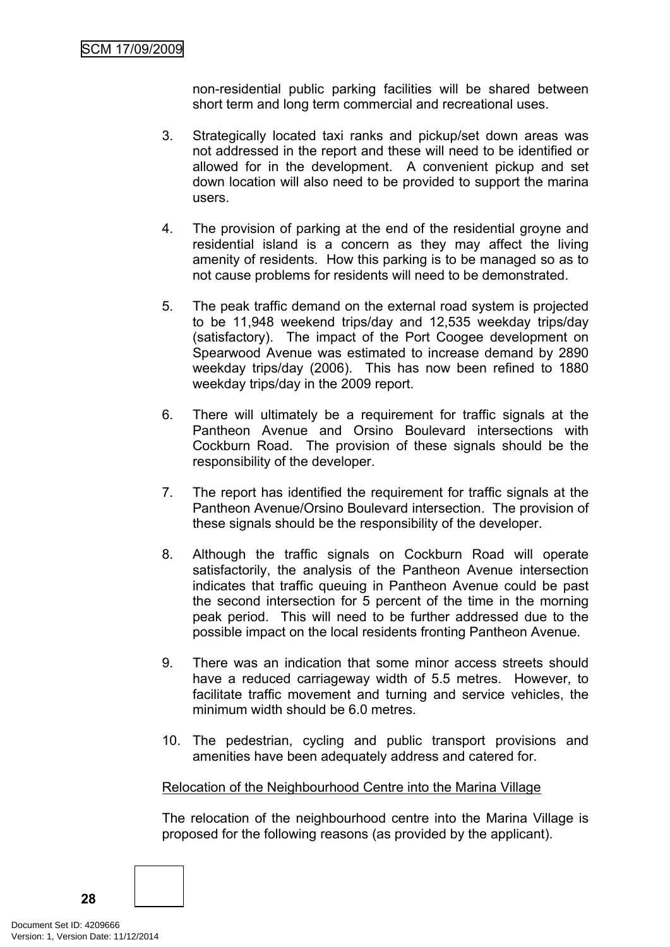non-residential public parking facilities will be shared between short term and long term commercial and recreational uses.

- 3. Strategically located taxi ranks and pickup/set down areas was not addressed in the report and these will need to be identified or allowed for in the development. A convenient pickup and set down location will also need to be provided to support the marina users.
- 4. The provision of parking at the end of the residential groyne and residential island is a concern as they may affect the living amenity of residents. How this parking is to be managed so as to not cause problems for residents will need to be demonstrated.
- 5. The peak traffic demand on the external road system is projected to be 11,948 weekend trips/day and 12,535 weekday trips/day (satisfactory). The impact of the Port Coogee development on Spearwood Avenue was estimated to increase demand by 2890 weekday trips/day (2006). This has now been refined to 1880 weekday trips/day in the 2009 report.
- 6. There will ultimately be a requirement for traffic signals at the Pantheon Avenue and Orsino Boulevard intersections with Cockburn Road. The provision of these signals should be the responsibility of the developer.
- 7. The report has identified the requirement for traffic signals at the Pantheon Avenue/Orsino Boulevard intersection. The provision of these signals should be the responsibility of the developer.
- 8. Although the traffic signals on Cockburn Road will operate satisfactorily, the analysis of the Pantheon Avenue intersection indicates that traffic queuing in Pantheon Avenue could be past the second intersection for 5 percent of the time in the morning peak period. This will need to be further addressed due to the possible impact on the local residents fronting Pantheon Avenue.
- 9. There was an indication that some minor access streets should have a reduced carriageway width of 5.5 metres. However, to facilitate traffic movement and turning and service vehicles, the minimum width should be 6.0 metres.
- 10. The pedestrian, cycling and public transport provisions and amenities have been adequately address and catered for.

### Relocation of the Neighbourhood Centre into the Marina Village

The relocation of the neighbourhood centre into the Marina Village is proposed for the following reasons (as provided by the applicant).

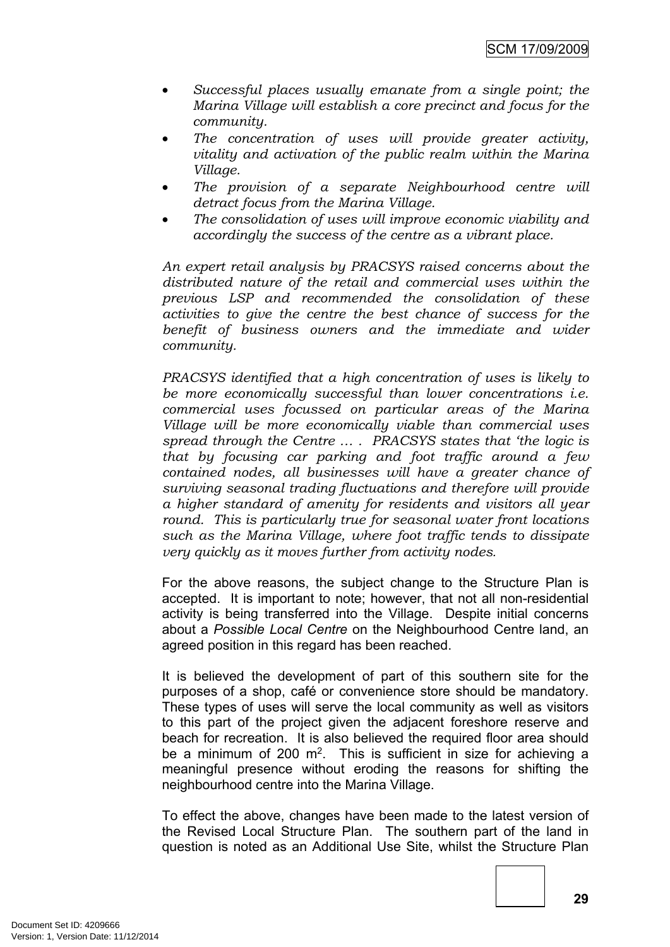- *Successful places usually emanate from a single point; the Marina Village will establish a core precinct and focus for the community.*
- *The concentration of uses will provide greater activity, vitality and activation of the public realm within the Marina Village.*
- *The provision of a separate Neighbourhood centre will detract focus from the Marina Village.*
- *The consolidation of uses will improve economic viability and accordingly the success of the centre as a vibrant place.*

*An expert retail analysis by PRACSYS raised concerns about the distributed nature of the retail and commercial uses within the previous LSP and recommended the consolidation of these activities to give the centre the best chance of success for the benefit of business owners and the immediate and wider community.*

*PRACSYS identified that a high concentration of uses is likely to be more economically successful than lower concentrations i.e. commercial uses focussed on particular areas of the Marina Village will be more economically viable than commercial uses spread through the Centre … . PRACSYS states that 'the logic is that by focusing car parking and foot traffic around a few contained nodes, all businesses will have a greater chance of surviving seasonal trading fluctuations and therefore will provide a higher standard of amenity for residents and visitors all year round. This is particularly true for seasonal water front locations such as the Marina Village, where foot traffic tends to dissipate very quickly as it moves further from activity nodes.* 

For the above reasons, the subject change to the Structure Plan is accepted. It is important to note; however, that not all non-residential activity is being transferred into the Village. Despite initial concerns about a *Possible Local Centre* on the Neighbourhood Centre land, an agreed position in this regard has been reached.

It is believed the development of part of this southern site for the purposes of a shop, café or convenience store should be mandatory. These types of uses will serve the local community as well as visitors to this part of the project given the adjacent foreshore reserve and beach for recreation. It is also believed the required floor area should be a minimum of 200 m<sup>2</sup>. This is sufficient in size for achieving a meaningful presence without eroding the reasons for shifting the neighbourhood centre into the Marina Village.

To effect the above, changes have been made to the latest version of the Revised Local Structure Plan. The southern part of the land in question is noted as an Additional Use Site, whilst the Structure Plan

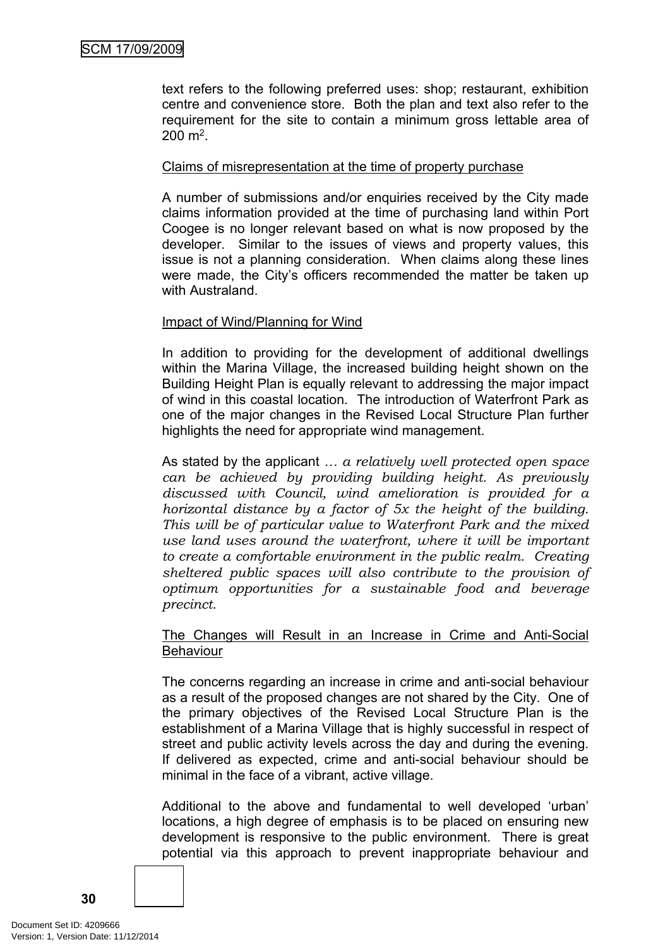text refers to the following preferred uses: shop; restaurant, exhibition centre and convenience store. Both the plan and text also refer to the requirement for the site to contain a minimum gross lettable area of  $200 \; \text{m}^2$ .

### Claims of misrepresentation at the time of property purchase

A number of submissions and/or enquiries received by the City made claims information provided at the time of purchasing land within Port Coogee is no longer relevant based on what is now proposed by the developer. Similar to the issues of views and property values, this issue is not a planning consideration. When claims along these lines were made, the City's officers recommended the matter be taken up with Australand.

### Impact of Wind/Planning for Wind

In addition to providing for the development of additional dwellings within the Marina Village, the increased building height shown on the Building Height Plan is equally relevant to addressing the major impact of wind in this coastal location. The introduction of Waterfront Park as one of the major changes in the Revised Local Structure Plan further highlights the need for appropriate wind management.

As stated by the applicant *… a relatively well protected open space can be achieved by providing building height. As previously discussed with Council, wind amelioration is provided for a horizontal distance by a factor of 5x the height of the building. This will be of particular value to Waterfront Park and the mixed use land uses around the waterfront, where it will be important to create a comfortable environment in the public realm. Creating sheltered public spaces will also contribute to the provision of optimum opportunities for a sustainable food and beverage precinct.*

#### The Changes will Result in an Increase in Crime and Anti-Social **Behaviour**

The concerns regarding an increase in crime and anti-social behaviour as a result of the proposed changes are not shared by the City. One of the primary objectives of the Revised Local Structure Plan is the establishment of a Marina Village that is highly successful in respect of street and public activity levels across the day and during the evening. If delivered as expected, crime and anti-social behaviour should be minimal in the face of a vibrant, active village.

Additional to the above and fundamental to well developed 'urban' locations, a high degree of emphasis is to be placed on ensuring new development is responsive to the public environment. There is great potential via this approach to prevent inappropriate behaviour and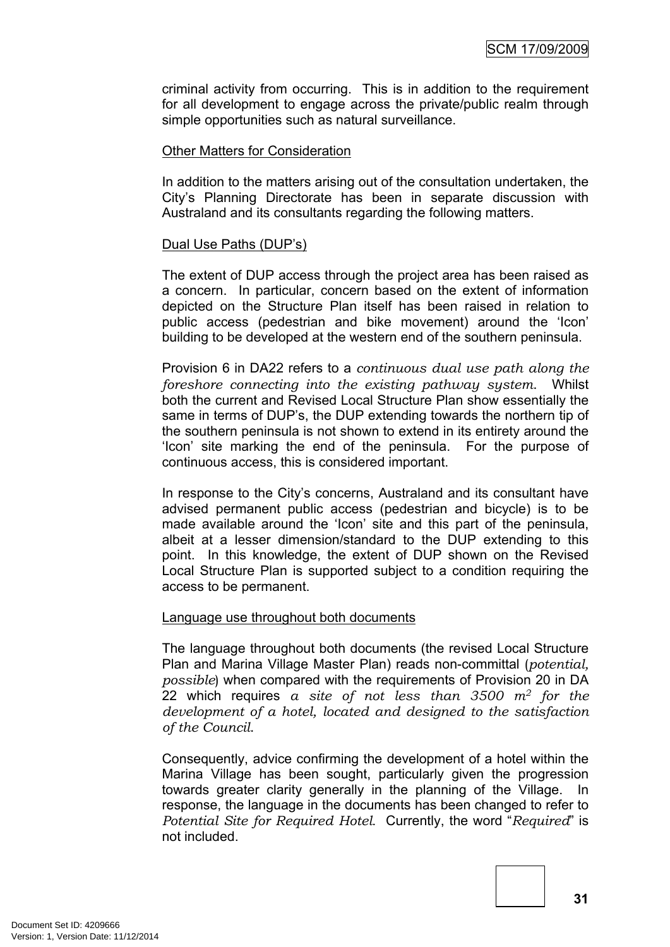criminal activity from occurring. This is in addition to the requirement for all development to engage across the private/public realm through simple opportunities such as natural surveillance.

### Other Matters for Consideration

In addition to the matters arising out of the consultation undertaken, the City's Planning Directorate has been in separate discussion with Australand and its consultants regarding the following matters.

### Dual Use Paths (DUP's)

The extent of DUP access through the project area has been raised as a concern. In particular, concern based on the extent of information depicted on the Structure Plan itself has been raised in relation to public access (pedestrian and bike movement) around the 'Icon' building to be developed at the western end of the southern peninsula.

Provision 6 in DA22 refers to a *continuous dual use path along the foreshore connecting into the existing pathway system*. Whilst both the current and Revised Local Structure Plan show essentially the same in terms of DUP's, the DUP extending towards the northern tip of the southern peninsula is not shown to extend in its entirety around the 'Icon' site marking the end of the peninsula. For the purpose of continuous access, this is considered important.

In response to the City's concerns, Australand and its consultant have advised permanent public access (pedestrian and bicycle) is to be made available around the 'Icon' site and this part of the peninsula, albeit at a lesser dimension/standard to the DUP extending to this point. In this knowledge, the extent of DUP shown on the Revised Local Structure Plan is supported subject to a condition requiring the access to be permanent.

#### Language use throughout both documents

The language throughout both documents (the revised Local Structure Plan and Marina Village Master Plan) reads non-committal (*potential, possible*) when compared with the requirements of Provision 20 in DA 22 which requires *a site of not less than 3500 m<sup>2</sup> for the development of a hotel, located and designed to the satisfaction of the Council*.

Consequently, advice confirming the development of a hotel within the Marina Village has been sought, particularly given the progression towards greater clarity generally in the planning of the Village. In response, the language in the documents has been changed to refer to *Potential Site for Required Hotel*. Currently, the word "*Required*" is not included.

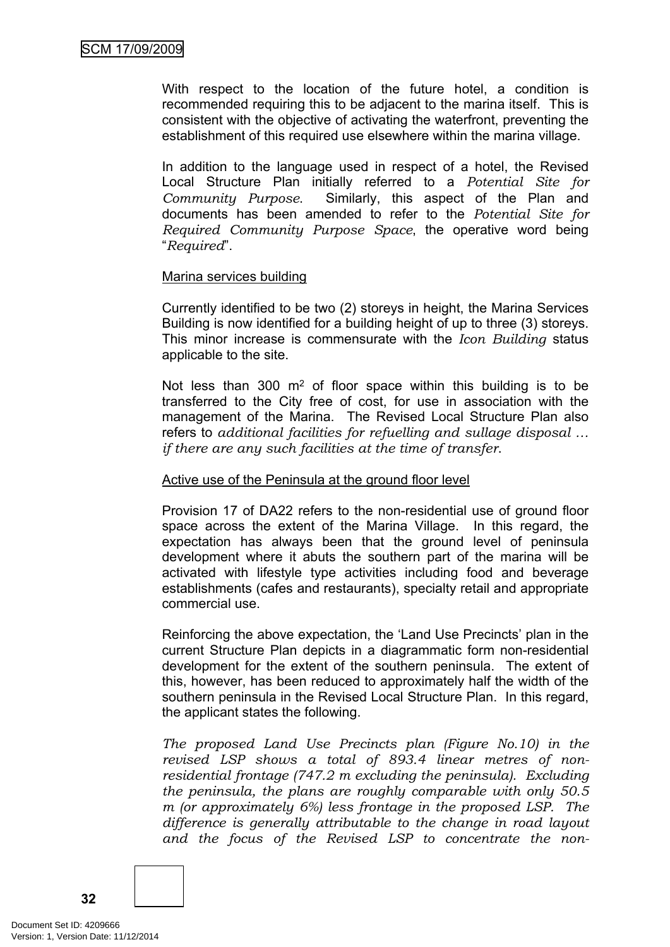With respect to the location of the future hotel, a condition is recommended requiring this to be adjacent to the marina itself. This is consistent with the objective of activating the waterfront, preventing the establishment of this required use elsewhere within the marina village.

In addition to the language used in respect of a hotel, the Revised Local Structure Plan initially referred to a *Potential Site for Community Purpose*. Similarly, this aspect of the Plan and documents has been amended to refer to the *Potential Site for Required Community Purpose Space*, the operative word being "*Required*".

#### Marina services building

Currently identified to be two (2) storeys in height, the Marina Services Building is now identified for a building height of up to three (3) storeys. This minor increase is commensurate with the *Icon Building* status applicable to the site.

Not less than 300  $m<sup>2</sup>$  of floor space within this building is to be transferred to the City free of cost, for use in association with the management of the Marina. The Revised Local Structure Plan also refers to *additional facilities for refuelling and sullage disposal … if there are any such facilities at the time of transfer*.

### Active use of the Peninsula at the ground floor level

Provision 17 of DA22 refers to the non-residential use of ground floor space across the extent of the Marina Village. In this regard, the expectation has always been that the ground level of peninsula development where it abuts the southern part of the marina will be activated with lifestyle type activities including food and beverage establishments (cafes and restaurants), specialty retail and appropriate commercial use.

Reinforcing the above expectation, the 'Land Use Precincts' plan in the current Structure Plan depicts in a diagrammatic form non-residential development for the extent of the southern peninsula. The extent of this, however, has been reduced to approximately half the width of the southern peninsula in the Revised Local Structure Plan. In this regard, the applicant states the following.

*The proposed Land Use Precincts plan (Figure No.10) in the revised LSP shows a total of 893.4 linear metres of nonresidential frontage (747.2 m excluding the peninsula). Excluding the peninsula, the plans are roughly comparable with only 50.5 m (or approximately 6%) less frontage in the proposed LSP. The difference is generally attributable to the change in road layout and the focus of the Revised LSP to concentrate the non-*

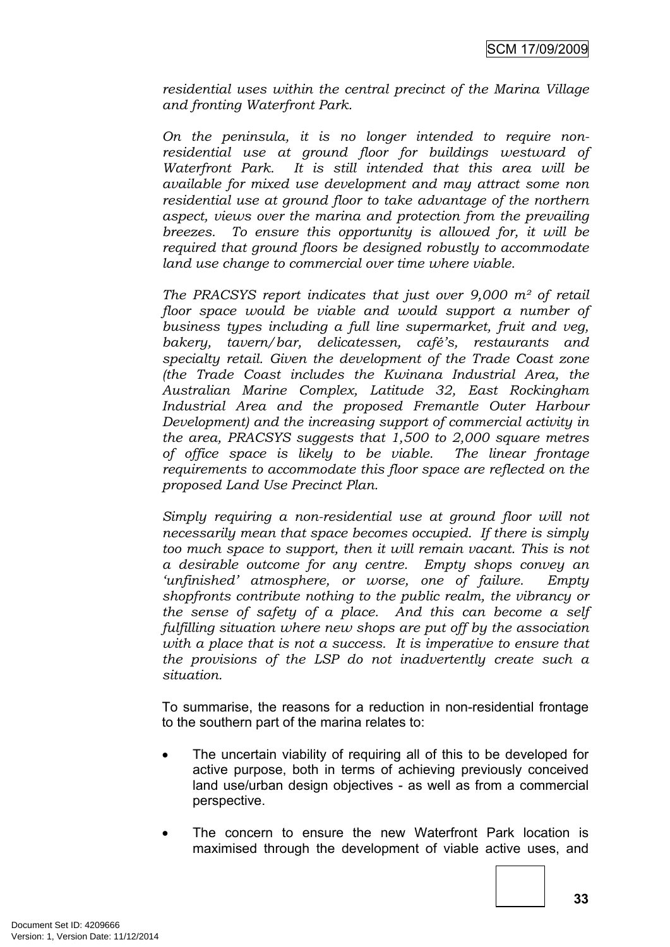*residential uses within the central precinct of the Marina Village and fronting Waterfront Park.*

*On the peninsula, it is no longer intended to require nonresidential use at ground floor for buildings westward of Waterfront Park. It is still intended that this area will be available for mixed use development and may attract some non residential use at ground floor to take advantage of the northern aspect, views over the marina and protection from the prevailing breezes. To ensure this opportunity is allowed for, it will be required that ground floors be designed robustly to accommodate land use change to commercial over time where viable.* 

*The PRACSYS report indicates that just over 9,000 m² of retail floor space would be viable and would support a number of business types including a full line supermarket, fruit and veg, bakery, tavern/bar, delicatessen, café's, restaurants and specialty retail. Given the development of the Trade Coast zone (the Trade Coast includes the Kwinana Industrial Area, the Australian Marine Complex, Latitude 32, East Rockingham Industrial Area and the proposed Fremantle Outer Harbour Development) and the increasing support of commercial activity in the area, PRACSYS suggests that 1,500 to 2,000 square metres of office space is likely to be viable. The linear frontage requirements to accommodate this floor space are reflected on the proposed Land Use Precinct Plan.*

*Simply requiring a non-residential use at ground floor will not necessarily mean that space becomes occupied. If there is simply too much space to support, then it will remain vacant. This is not a desirable outcome for any centre. Empty shops convey an 'unfinished' atmosphere, or worse, one of failure. Empty shopfronts contribute nothing to the public realm, the vibrancy or the sense of safety of a place. And this can become a self fulfilling situation where new shops are put off by the association with a place that is not a success. It is imperative to ensure that the provisions of the LSP do not inadvertently create such a situation.*

To summarise, the reasons for a reduction in non-residential frontage to the southern part of the marina relates to:

- The uncertain viability of requiring all of this to be developed for active purpose, both in terms of achieving previously conceived land use/urban design objectives - as well as from a commercial perspective.
- The concern to ensure the new Waterfront Park location is maximised through the development of viable active uses, and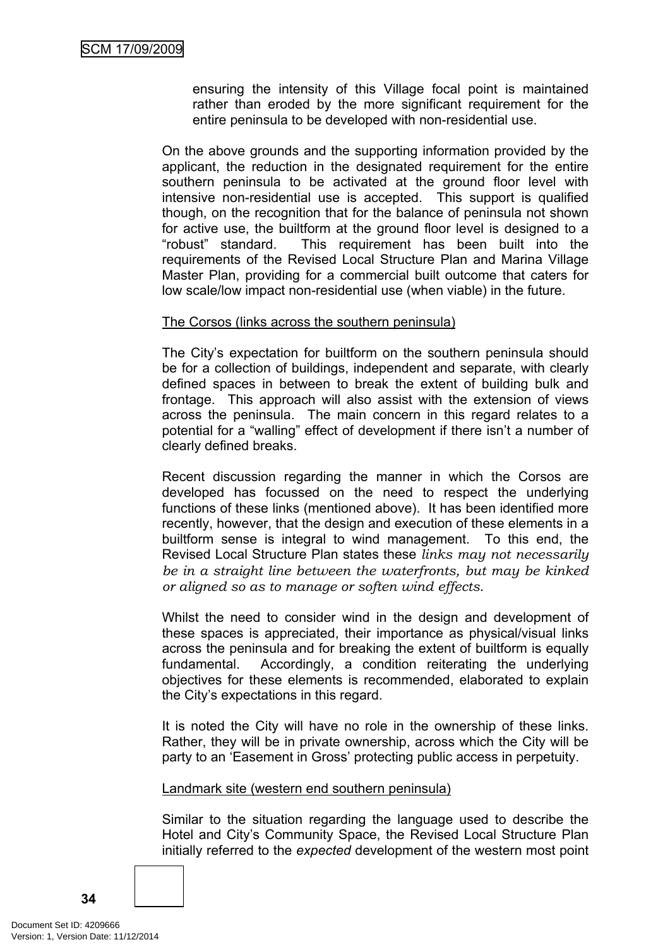ensuring the intensity of this Village focal point is maintained rather than eroded by the more significant requirement for the entire peninsula to be developed with non-residential use.

On the above grounds and the supporting information provided by the applicant, the reduction in the designated requirement for the entire southern peninsula to be activated at the ground floor level with intensive non-residential use is accepted. This support is qualified though, on the recognition that for the balance of peninsula not shown for active use, the builtform at the ground floor level is designed to a "robust" standard. This requirement has been built into the requirements of the Revised Local Structure Plan and Marina Village Master Plan, providing for a commercial built outcome that caters for low scale/low impact non-residential use (when viable) in the future.

### The Corsos (links across the southern peninsula)

The City's expectation for builtform on the southern peninsula should be for a collection of buildings, independent and separate, with clearly defined spaces in between to break the extent of building bulk and frontage. This approach will also assist with the extension of views across the peninsula. The main concern in this regard relates to a potential for a "walling" effect of development if there isn't a number of clearly defined breaks.

Recent discussion regarding the manner in which the Corsos are developed has focussed on the need to respect the underlying functions of these links (mentioned above). It has been identified more recently, however, that the design and execution of these elements in a builtform sense is integral to wind management. To this end, the Revised Local Structure Plan states these *links may not necessarily be in a straight line between the waterfronts, but may be kinked or aligned so as to manage or soften wind effects*.

Whilst the need to consider wind in the design and development of these spaces is appreciated, their importance as physical/visual links across the peninsula and for breaking the extent of builtform is equally fundamental. Accordingly, a condition reiterating the underlying objectives for these elements is recommended, elaborated to explain the City's expectations in this regard.

It is noted the City will have no role in the ownership of these links. Rather, they will be in private ownership, across which the City will be party to an 'Easement in Gross' protecting public access in perpetuity.

#### Landmark site (western end southern peninsula)

Similar to the situation regarding the language used to describe the Hotel and City's Community Space, the Revised Local Structure Plan initially referred to the *expected* development of the western most point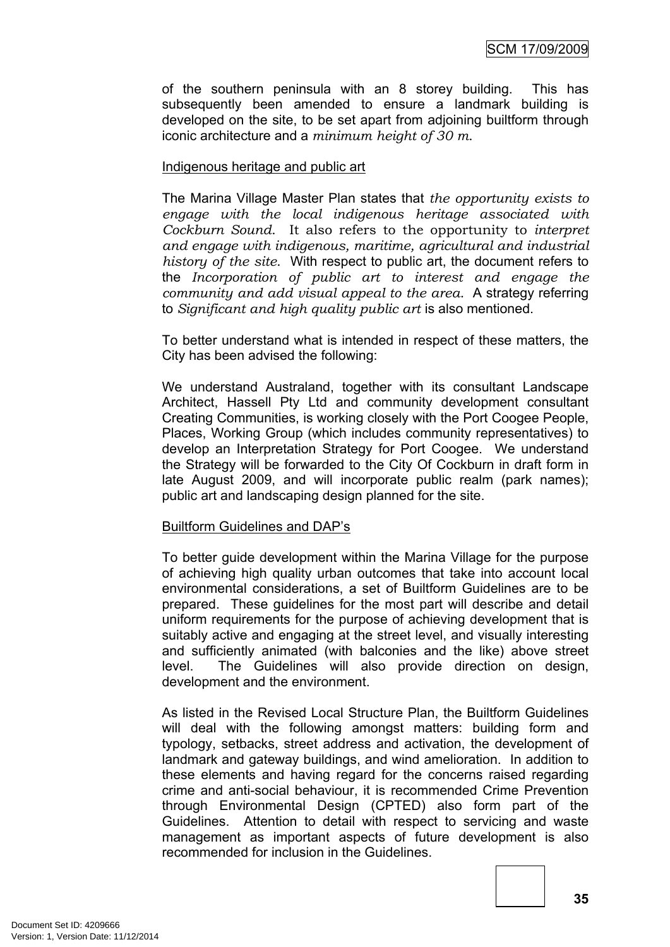of the southern peninsula with an 8 storey building. This has subsequently been amended to ensure a landmark building is developed on the site, to be set apart from adjoining builtform through iconic architecture and a *minimum height of 30 m*.

### Indigenous heritage and public art

The Marina Village Master Plan states that *the opportunity exists to engage with the local indigenous heritage associated with Cockburn Sound*. It also refers to the opportunity to *interpret and engage with indigenous, maritime, agricultural and industrial history of the site*. With respect to public art, the document refers to the *Incorporation of public art to interest and engage the community and add visual appeal to the area*. A strategy referring to *Significant and high quality public art* is also mentioned.

To better understand what is intended in respect of these matters, the City has been advised the following:

We understand Australand, together with its consultant Landscape Architect, Hassell Pty Ltd and community development consultant Creating Communities, is working closely with the Port Coogee People, Places, Working Group (which includes community representatives) to develop an Interpretation Strategy for Port Coogee. We understand the Strategy will be forwarded to the City Of Cockburn in draft form in late August 2009, and will incorporate public realm (park names); public art and landscaping design planned for the site.

### Builtform Guidelines and DAP's

To better guide development within the Marina Village for the purpose of achieving high quality urban outcomes that take into account local environmental considerations, a set of Builtform Guidelines are to be prepared. These guidelines for the most part will describe and detail uniform requirements for the purpose of achieving development that is suitably active and engaging at the street level, and visually interesting and sufficiently animated (with balconies and the like) above street level. The Guidelines will also provide direction on design, development and the environment.

As listed in the Revised Local Structure Plan, the Builtform Guidelines will deal with the following amongst matters: building form and typology, setbacks, street address and activation, the development of landmark and gateway buildings, and wind amelioration. In addition to these elements and having regard for the concerns raised regarding crime and anti-social behaviour, it is recommended Crime Prevention through Environmental Design (CPTED) also form part of the Guidelines. Attention to detail with respect to servicing and waste management as important aspects of future development is also recommended for inclusion in the Guidelines.

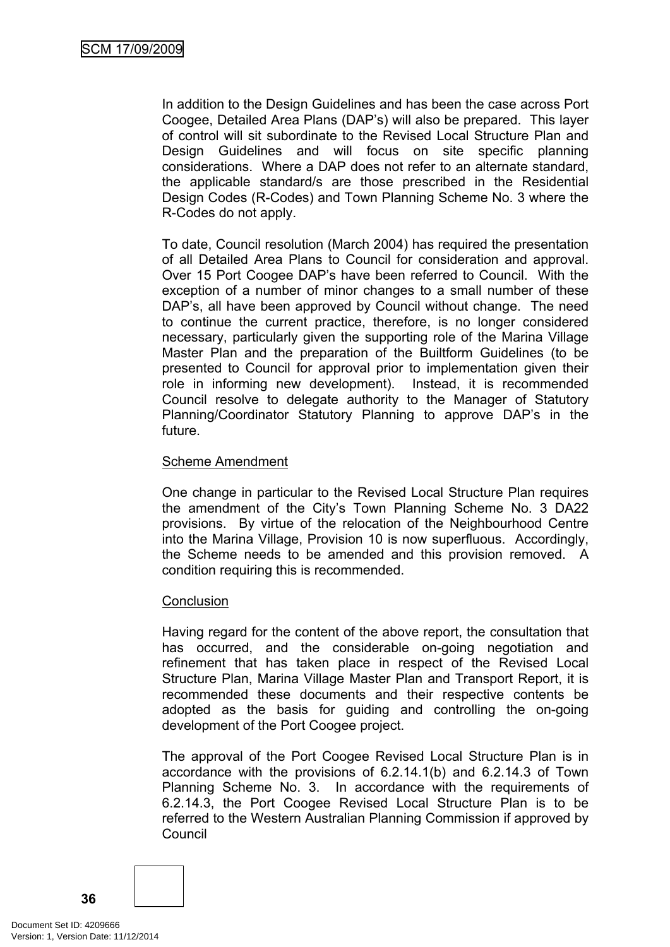In addition to the Design Guidelines and has been the case across Port Coogee, Detailed Area Plans (DAP's) will also be prepared. This layer of control will sit subordinate to the Revised Local Structure Plan and Design Guidelines and will focus on site specific planning considerations. Where a DAP does not refer to an alternate standard, the applicable standard/s are those prescribed in the Residential Design Codes (R-Codes) and Town Planning Scheme No. 3 where the R-Codes do not apply.

To date, Council resolution (March 2004) has required the presentation of all Detailed Area Plans to Council for consideration and approval. Over 15 Port Coogee DAP's have been referred to Council. With the exception of a number of minor changes to a small number of these DAP's, all have been approved by Council without change. The need to continue the current practice, therefore, is no longer considered necessary, particularly given the supporting role of the Marina Village Master Plan and the preparation of the Builtform Guidelines (to be presented to Council for approval prior to implementation given their role in informing new development). Instead, it is recommended Council resolve to delegate authority to the Manager of Statutory Planning/Coordinator Statutory Planning to approve DAP's in the future.

### Scheme Amendment

One change in particular to the Revised Local Structure Plan requires the amendment of the City's Town Planning Scheme No. 3 DA22 provisions. By virtue of the relocation of the Neighbourhood Centre into the Marina Village, Provision 10 is now superfluous. Accordingly, the Scheme needs to be amended and this provision removed. A condition requiring this is recommended.

#### **Conclusion**

Having regard for the content of the above report, the consultation that has occurred, and the considerable on-going negotiation and refinement that has taken place in respect of the Revised Local Structure Plan, Marina Village Master Plan and Transport Report, it is recommended these documents and their respective contents be adopted as the basis for guiding and controlling the on-going development of the Port Coogee project.

The approval of the Port Coogee Revised Local Structure Plan is in accordance with the provisions of 6.2.14.1(b) and 6.2.14.3 of Town Planning Scheme No. 3. In accordance with the requirements of 6.2.14.3, the Port Coogee Revised Local Structure Plan is to be referred to the Western Australian Planning Commission if approved by Council

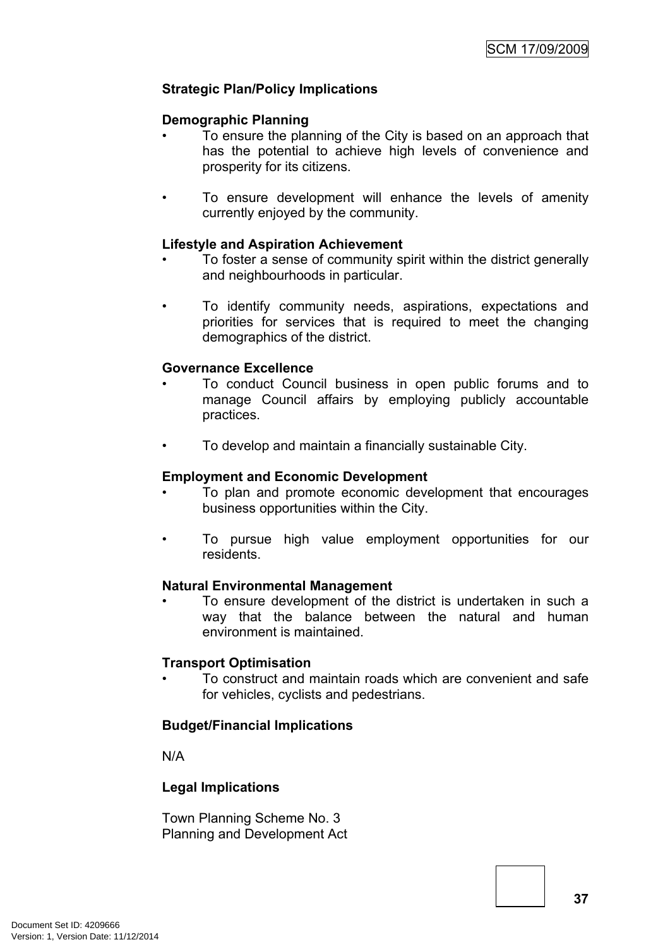### **Strategic Plan/Policy Implications**

#### **Demographic Planning**

- To ensure the planning of the City is based on an approach that has the potential to achieve high levels of convenience and prosperity for its citizens.
- To ensure development will enhance the levels of amenity currently enjoyed by the community.

### **Lifestyle and Aspiration Achievement**

- To foster a sense of community spirit within the district generally and neighbourhoods in particular.
- To identify community needs, aspirations, expectations and priorities for services that is required to meet the changing demographics of the district.

#### **Governance Excellence**

- To conduct Council business in open public forums and to manage Council affairs by employing publicly accountable practices.
- To develop and maintain a financially sustainable City.

#### **Employment and Economic Development**

- To plan and promote economic development that encourages business opportunities within the City.
- To pursue high value employment opportunities for our residents.

#### **Natural Environmental Management**

• To ensure development of the district is undertaken in such a way that the balance between the natural and human environment is maintained.

#### **Transport Optimisation**

• To construct and maintain roads which are convenient and safe for vehicles, cyclists and pedestrians.

#### **Budget/Financial Implications**

N/A

### **Legal Implications**

Town Planning Scheme No. 3 Planning and Development Act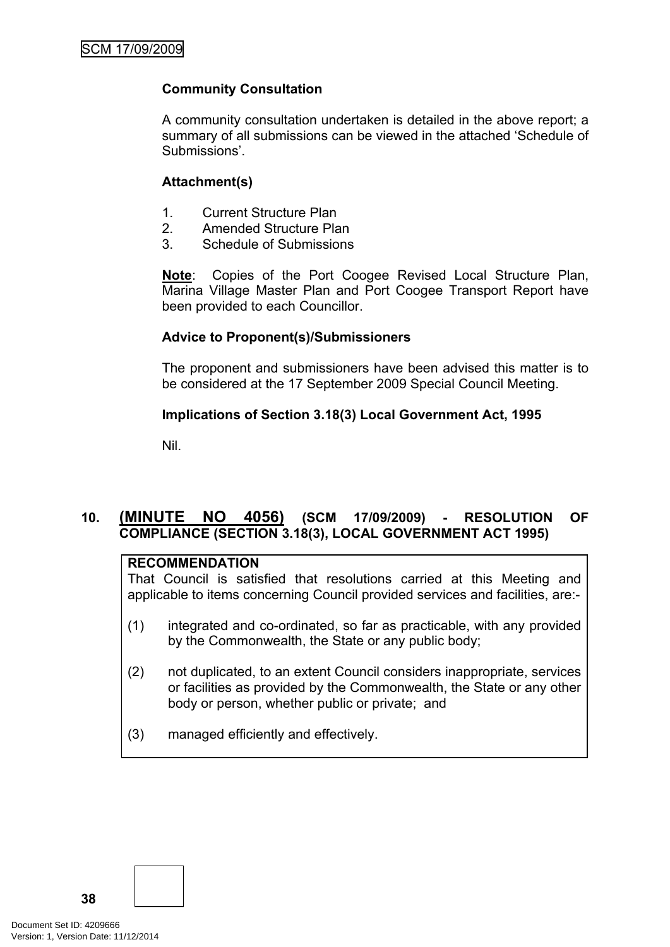### **Community Consultation**

A community consultation undertaken is detailed in the above report; a summary of all submissions can be viewed in the attached 'Schedule of Submissions'.

### **Attachment(s)**

- 1. Current Structure Plan
- 2. Amended Structure Plan
- 3. Schedule of Submissions

**Note**: Copies of the Port Coogee Revised Local Structure Plan, Marina Village Master Plan and Port Coogee Transport Report have been provided to each Councillor.

#### **Advice to Proponent(s)/Submissioners**

The proponent and submissioners have been advised this matter is to be considered at the 17 September 2009 Special Council Meeting.

### **Implications of Section 3.18(3) Local Government Act, 1995**

Nil.

### <span id="page-39-0"></span>**10. (MINUTE NO 4056) (SCM 17/09/2009) - RESOLUTION OF COMPLIANCE (SECTION 3.18(3), LOCAL GOVERNMENT ACT 1995)**

### **RECOMMENDATION**

That Council is satisfied that resolutions carried at this Meeting and applicable to items concerning Council provided services and facilities, are:-

- (1) integrated and co-ordinated, so far as practicable, with any provided by the Commonwealth, the State or any public body;
- (2) not duplicated, to an extent Council considers inappropriate, services or facilities as provided by the Commonwealth, the State or any other body or person, whether public or private; and
- (3) managed efficiently and effectively.